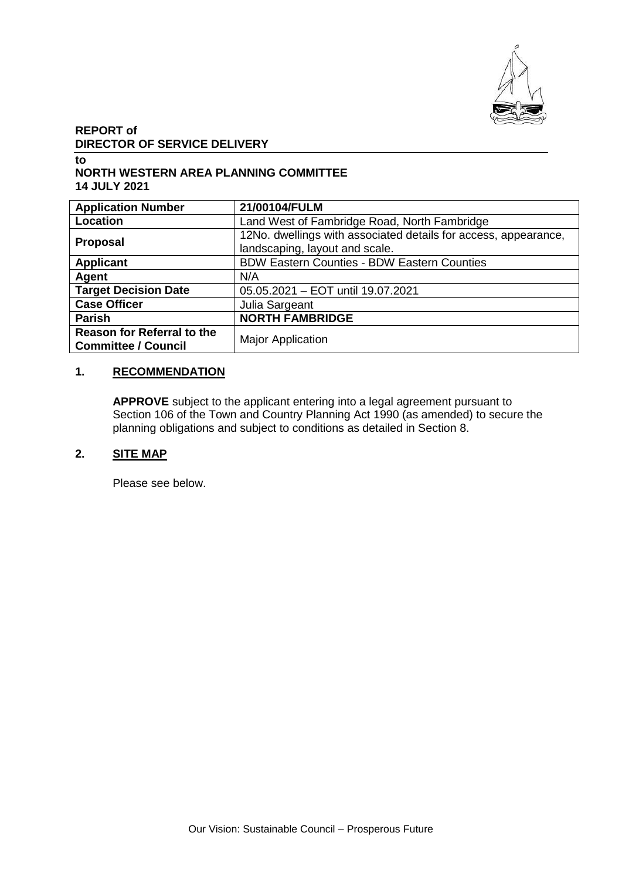

# **REPORT of DIRECTOR OF SERVICE DELIVERY**

#### **to NORTH WESTERN AREA PLANNING COMMITTEE 14 JULY 2021**

| <b>Application Number</b>                                       | 21/00104/FULM                                                                                     |
|-----------------------------------------------------------------|---------------------------------------------------------------------------------------------------|
| Location                                                        | Land West of Fambridge Road, North Fambridge                                                      |
| <b>Proposal</b>                                                 | 12No. dwellings with associated details for access, appearance,<br>landscaping, layout and scale. |
| <b>Applicant</b>                                                | <b>BDW Eastern Counties - BDW Eastern Counties</b>                                                |
| Agent                                                           | N/A                                                                                               |
| <b>Target Decision Date</b>                                     | 05.05.2021 - EOT until 19.07.2021                                                                 |
| <b>Case Officer</b>                                             | Julia Sargeant                                                                                    |
| <b>Parish</b>                                                   | <b>NORTH FAMBRIDGE</b>                                                                            |
| <b>Reason for Referral to the</b><br><b>Committee / Council</b> | <b>Major Application</b>                                                                          |

# **1. RECOMMENDATION**

**APPROVE** subject to the applicant entering into a legal agreement pursuant to Section 106 of the Town and Country Planning Act 1990 (as amended) to secure the planning obligations and subject to conditions as detailed in Section 8.

# **2. SITE MAP**

Please see below.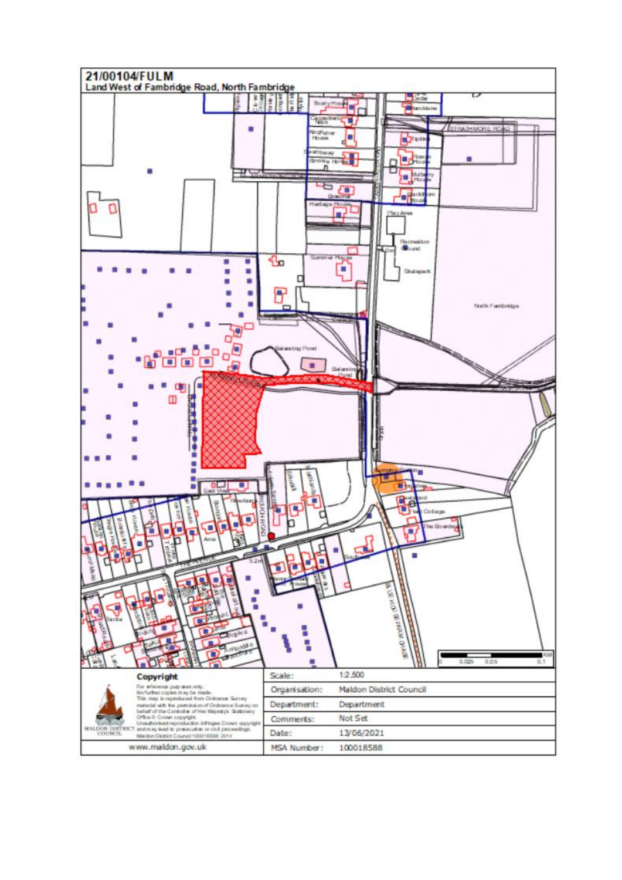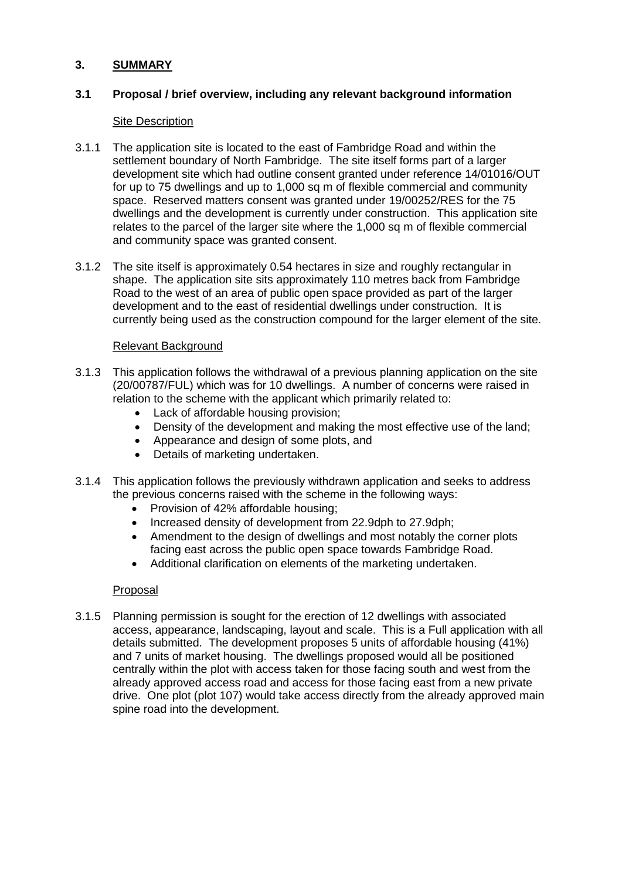## **3. SUMMARY**

# **3.1 Proposal / brief overview, including any relevant background information**

### Site Description

- 3.1.1 The application site is located to the east of Fambridge Road and within the settlement boundary of North Fambridge. The site itself forms part of a larger development site which had outline consent granted under reference 14/01016/OUT for up to 75 dwellings and up to 1,000 sq m of flexible commercial and community space. Reserved matters consent was granted under 19/00252/RES for the 75 dwellings and the development is currently under construction. This application site relates to the parcel of the larger site where the 1,000 sq m of flexible commercial and community space was granted consent.
- 3.1.2 The site itself is approximately 0.54 hectares in size and roughly rectangular in shape. The application site sits approximately 110 metres back from Fambridge Road to the west of an area of public open space provided as part of the larger development and to the east of residential dwellings under construction. It is currently being used as the construction compound for the larger element of the site.

# Relevant Background

- 3.1.3 This application follows the withdrawal of a previous planning application on the site (20/00787/FUL) which was for 10 dwellings. A number of concerns were raised in relation to the scheme with the applicant which primarily related to:
	- Lack of affordable housing provision;
	- Density of the development and making the most effective use of the land;
	- Appearance and design of some plots, and
	- Details of marketing undertaken.
- 3.1.4 This application follows the previously withdrawn application and seeks to address the previous concerns raised with the scheme in the following ways:
	- Provision of 42% affordable housing;
	- Increased density of development from 22.9dph to 27.9dph;
	- Amendment to the design of dwellings and most notably the corner plots facing east across the public open space towards Fambridge Road.
	- Additional clarification on elements of the marketing undertaken.

## Proposal

3.1.5 Planning permission is sought for the erection of 12 dwellings with associated access, appearance, landscaping, layout and scale. This is a Full application with all details submitted. The development proposes 5 units of affordable housing (41%) and 7 units of market housing. The dwellings proposed would all be positioned centrally within the plot with access taken for those facing south and west from the already approved access road and access for those facing east from a new private drive. One plot (plot 107) would take access directly from the already approved main spine road into the development.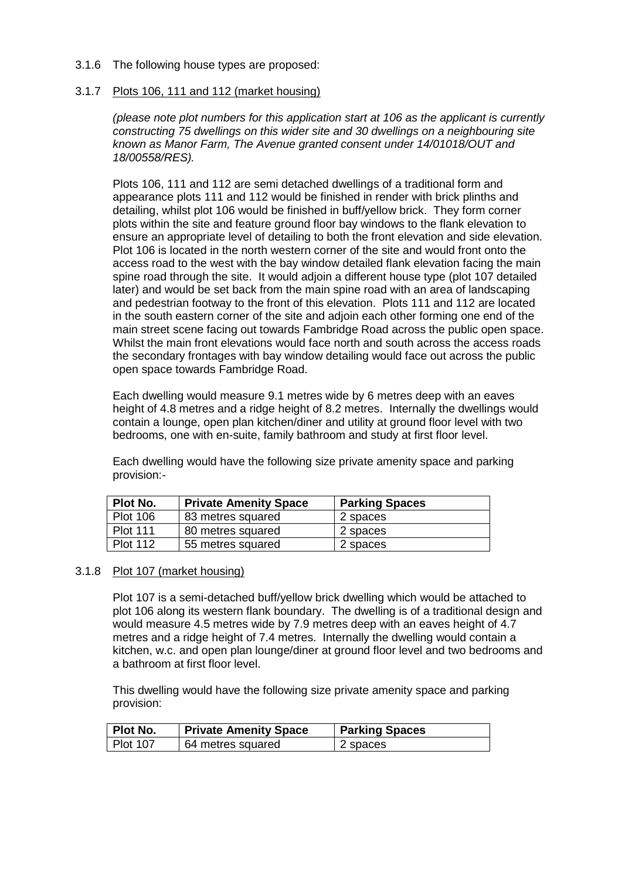- 3.1.6 The following house types are proposed:
- 3.1.7 Plots 106, 111 and 112 (market housing)

*(please note plot numbers for this application start at 106 as the applicant is currently constructing 75 dwellings on this wider site and 30 dwellings on a neighbouring site known as Manor Farm, The Avenue granted consent under 14/01018/OUT and 18/00558/RES).*

Plots 106, 111 and 112 are semi detached dwellings of a traditional form and appearance plots 111 and 112 would be finished in render with brick plinths and detailing, whilst plot 106 would be finished in buff/yellow brick. They form corner plots within the site and feature ground floor bay windows to the flank elevation to ensure an appropriate level of detailing to both the front elevation and side elevation. Plot 106 is located in the north western corner of the site and would front onto the access road to the west with the bay window detailed flank elevation facing the main spine road through the site. It would adjoin a different house type (plot 107 detailed later) and would be set back from the main spine road with an area of landscaping and pedestrian footway to the front of this elevation. Plots 111 and 112 are located in the south eastern corner of the site and adjoin each other forming one end of the main street scene facing out towards Fambridge Road across the public open space. Whilst the main front elevations would face north and south across the access roads the secondary frontages with bay window detailing would face out across the public open space towards Fambridge Road.

Each dwelling would measure 9.1 metres wide by 6 metres deep with an eaves height of 4.8 metres and a ridge height of 8.2 metres. Internally the dwellings would contain a lounge, open plan kitchen/diner and utility at ground floor level with two bedrooms, one with en-suite, family bathroom and study at first floor level.

Each dwelling would have the following size private amenity space and parking provision:-

| Plot No.        | <b>Private Amenity Space</b> | <b>Parking Spaces</b> |
|-----------------|------------------------------|-----------------------|
| <b>Plot 106</b> | 83 metres squared            | 2 spaces              |
| <b>Plot 111</b> | 80 metres squared            | 2 spaces              |
| <b>Plot 112</b> | 55 metres squared            | 2 spaces              |

3.1.8 Plot 107 (market housing)

Plot 107 is a semi-detached buff/yellow brick dwelling which would be attached to plot 106 along its western flank boundary. The dwelling is of a traditional design and would measure 4.5 metres wide by 7.9 metres deep with an eaves height of 4.7 metres and a ridge height of 7.4 metres. Internally the dwelling would contain a kitchen, w.c. and open plan lounge/diner at ground floor level and two bedrooms and a bathroom at first floor level.

This dwelling would have the following size private amenity space and parking provision:

| Plot No.   | <b>Private Amenity Space</b> | <b>Parking Spaces</b> |
|------------|------------------------------|-----------------------|
| l Plot 107 | 64 metres squared            | 2 spaces              |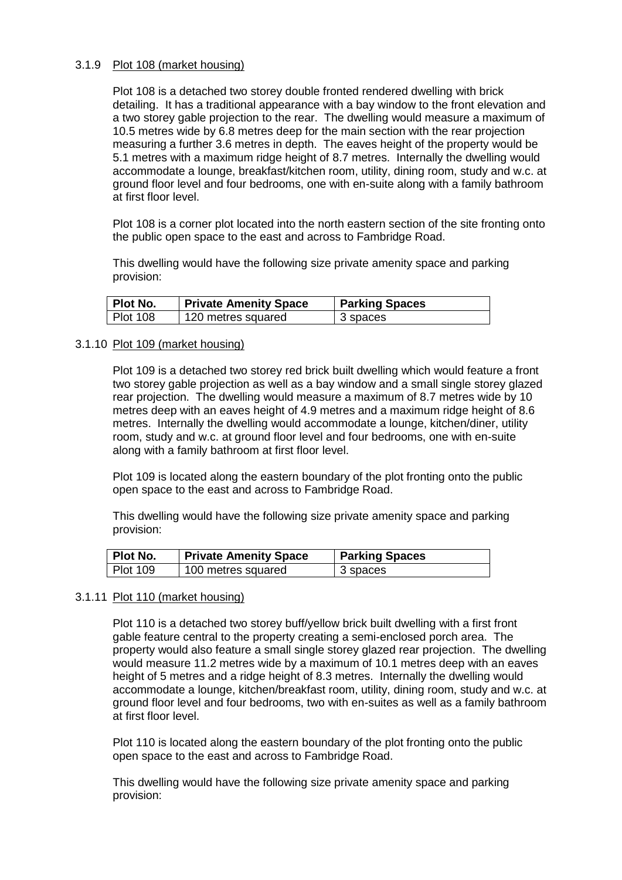#### 3.1.9 Plot 108 (market housing)

Plot 108 is a detached two storey double fronted rendered dwelling with brick detailing. It has a traditional appearance with a bay window to the front elevation and a two storey gable projection to the rear. The dwelling would measure a maximum of 10.5 metres wide by 6.8 metres deep for the main section with the rear projection measuring a further 3.6 metres in depth. The eaves height of the property would be 5.1 metres with a maximum ridge height of 8.7 metres. Internally the dwelling would accommodate a lounge, breakfast/kitchen room, utility, dining room, study and w.c. at ground floor level and four bedrooms, one with en-suite along with a family bathroom at first floor level.

Plot 108 is a corner plot located into the north eastern section of the site fronting onto the public open space to the east and across to Fambridge Road.

This dwelling would have the following size private amenity space and parking provision:

| ∣ Plot No. | <b>Private Amenity Space</b> | <b>Parking Spaces</b> |
|------------|------------------------------|-----------------------|
| Plot 108   | 120 metres squared           | 3 spaces              |

#### 3.1.10 Plot 109 (market housing)

Plot 109 is a detached two storey red brick built dwelling which would feature a front two storey gable projection as well as a bay window and a small single storey glazed rear projection. The dwelling would measure a maximum of 8.7 metres wide by 10 metres deep with an eaves height of 4.9 metres and a maximum ridge height of 8.6 metres. Internally the dwelling would accommodate a lounge, kitchen/diner, utility room, study and w.c. at ground floor level and four bedrooms, one with en-suite along with a family bathroom at first floor level.

Plot 109 is located along the eastern boundary of the plot fronting onto the public open space to the east and across to Fambridge Road.

This dwelling would have the following size private amenity space and parking provision:

| Plot No.        | <b>Private Amenity Space</b> | <b>Parking Spaces</b> |
|-----------------|------------------------------|-----------------------|
| <b>Plot 109</b> | 100 metres squared           | 3 spaces              |

#### 3.1.11 Plot 110 (market housing)

Plot 110 is a detached two storey buff/yellow brick built dwelling with a first front gable feature central to the property creating a semi-enclosed porch area. The property would also feature a small single storey glazed rear projection. The dwelling would measure 11.2 metres wide by a maximum of 10.1 metres deep with an eaves height of 5 metres and a ridge height of 8.3 metres. Internally the dwelling would accommodate a lounge, kitchen/breakfast room, utility, dining room, study and w.c. at ground floor level and four bedrooms, two with en-suites as well as a family bathroom at first floor level.

Plot 110 is located along the eastern boundary of the plot fronting onto the public open space to the east and across to Fambridge Road.

This dwelling would have the following size private amenity space and parking provision: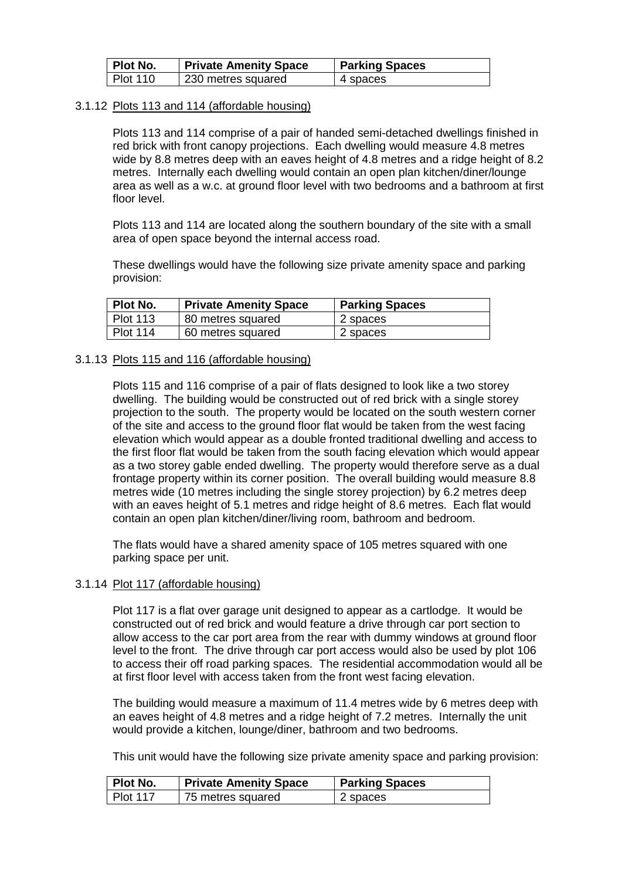| Plot No. | <b>Private Amenity Space</b> | <b>Parking Spaces</b> |
|----------|------------------------------|-----------------------|
| Plot 110 | 230 metres squared           | 4 spaces              |

#### 3.1.12 Plots 113 and 114 (affordable housing)

Plots 113 and 114 comprise of a pair of handed semi-detached dwellings finished in red brick with front canopy projections. Each dwelling would measure 4.8 metres wide by 8.8 metres deep with an eaves height of 4.8 metres and a ridge height of 8.2 metres. Internally each dwelling would contain an open plan kitchen/diner/lounge area as well as a w.c. at ground floor level with two bedrooms and a bathroom at first floor level.

Plots 113 and 114 are located along the southern boundary of the site with a small area of open space beyond the internal access road.

These dwellings would have the following size private amenity space and parking provision:

| Plot No.   | <b>Private Amenity Space</b> | <b>Parking Spaces</b> |
|------------|------------------------------|-----------------------|
| l Plot 113 | 80 metres squared            | 2 spaces              |
| l Plot 114 | 60 metres squared            | 2 spaces              |

#### 3.1.13 Plots 115 and 116 (affordable housing)

Plots 115 and 116 comprise of a pair of flats designed to look like a two storey dwelling. The building would be constructed out of red brick with a single storey projection to the south. The property would be located on the south western corner of the site and access to the ground floor flat would be taken from the west facing elevation which would appear as a double fronted traditional dwelling and access to the first floor flat would be taken from the south facing elevation which would appear as a two storey gable ended dwelling. The property would therefore serve as a dual frontage property within its corner position. The overall building would measure 8.8 metres wide (10 metres including the single storey projection) by 6.2 metres deep with an eaves height of 5.1 metres and ridge height of 8.6 metres. Each flat would contain an open plan kitchen/diner/living room, bathroom and bedroom.

The flats would have a shared amenity space of 105 metres squared with one parking space per unit.

#### 3.1.14 Plot 117 (affordable housing)

Plot 117 is a flat over garage unit designed to appear as a cartlodge. It would be constructed out of red brick and would feature a drive through car port section to allow access to the car port area from the rear with dummy windows at ground floor level to the front. The drive through car port access would also be used by plot 106 to access their off road parking spaces. The residential accommodation would all be at first floor level with access taken from the front west facing elevation.

The building would measure a maximum of 11.4 metres wide by 6 metres deep with an eaves height of 4.8 metres and a ridge height of 7.2 metres. Internally the unit would provide a kitchen, lounge/diner, bathroom and two bedrooms.

This unit would have the following size private amenity space and parking provision:

| Plot No.        | <b>Private Amenity Space</b> | <b>Parking Spaces</b> |
|-----------------|------------------------------|-----------------------|
| $\mid$ Plot 117 | 75 metres squared            | 2 spaces              |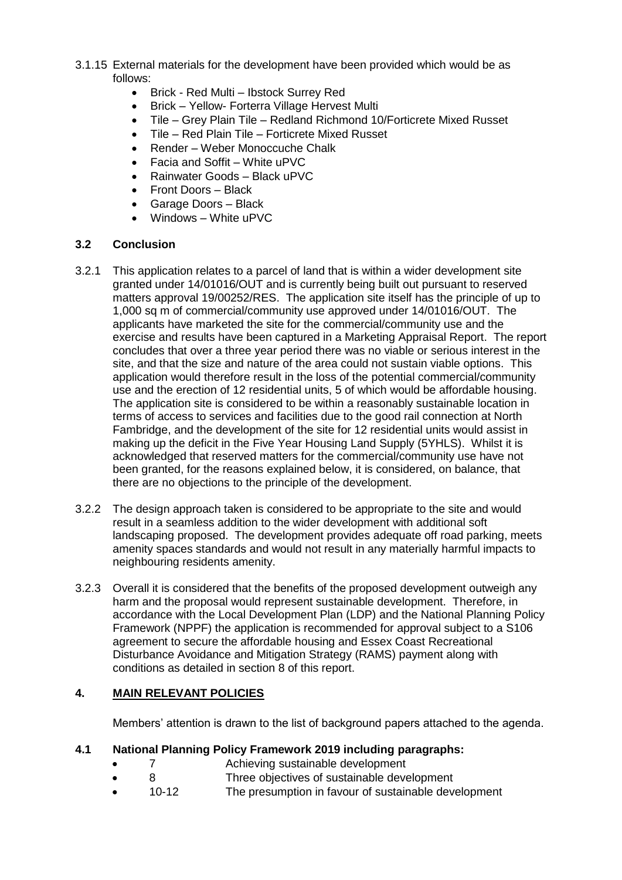- 3.1.15 External materials for the development have been provided which would be as follows:
	- Brick Red Multi Ibstock Surrey Red
	- Brick Yellow- Forterra Village Hervest Multi
	- Tile Grey Plain Tile Redland Richmond 10/Forticrete Mixed Russet
	- Tile Red Plain Tile Forticrete Mixed Russet
	- Render Weber Monoccuche Chalk
	- Facia and Soffit White uPVC
	- Rainwater Goods Black uPVC
	- Front Doors Black
	- Garage Doors Black
	- Windows White uPVC

# **3.2 Conclusion**

- 3.2.1 This application relates to a parcel of land that is within a wider development site granted under 14/01016/OUT and is currently being built out pursuant to reserved matters approval 19/00252/RES. The application site itself has the principle of up to 1,000 sq m of commercial/community use approved under 14/01016/OUT. The applicants have marketed the site for the commercial/community use and the exercise and results have been captured in a Marketing Appraisal Report. The report concludes that over a three year period there was no viable or serious interest in the site, and that the size and nature of the area could not sustain viable options. This application would therefore result in the loss of the potential commercial/community use and the erection of 12 residential units, 5 of which would be affordable housing. The application site is considered to be within a reasonably sustainable location in terms of access to services and facilities due to the good rail connection at North Fambridge, and the development of the site for 12 residential units would assist in making up the deficit in the Five Year Housing Land Supply (5YHLS). Whilst it is acknowledged that reserved matters for the commercial/community use have not been granted, for the reasons explained below, it is considered, on balance, that there are no objections to the principle of the development.
- 3.2.2 The design approach taken is considered to be appropriate to the site and would result in a seamless addition to the wider development with additional soft landscaping proposed. The development provides adequate off road parking, meets amenity spaces standards and would not result in any materially harmful impacts to neighbouring residents amenity.
- 3.2.3 Overall it is considered that the benefits of the proposed development outweigh any harm and the proposal would represent sustainable development. Therefore, in accordance with the Local Development Plan (LDP) and the National Planning Policy Framework (NPPF) the application is recommended for approval subject to a S106 agreement to secure the affordable housing and Essex Coast Recreational Disturbance Avoidance and Mitigation Strategy (RAMS) payment along with conditions as detailed in section 8 of this report.

# **4. MAIN RELEVANT POLICIES**

Members' attention is drawn to the list of background papers attached to the agenda.

## **4.1 National Planning Policy Framework 2019 including paragraphs:**

- 7 Achieving sustainable development
- 8 Three objectives of sustainable development
- 10-12 The presumption in favour of sustainable development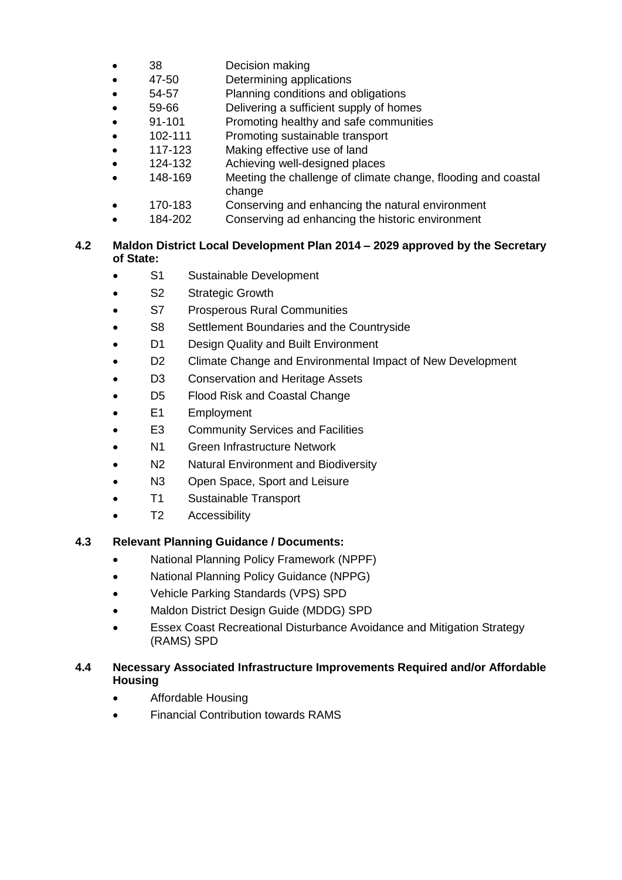- 38 Decision making
- 47-50 Determining applications
- 54-57 Planning conditions and obligations
- 59-66 Delivering a sufficient supply of homes
- 91-101 Promoting healthy and safe communities
- 102-111 Promoting sustainable transport
- 117-123 Making effective use of land
- 124-132 Achieving well-designed places
- 148-169 Meeting the challenge of climate change, flooding and coastal change
- 170-183 Conserving and enhancing the natural environment
- 184-202 Conserving ad enhancing the historic environment

# **4.2 Maldon District Local Development Plan 2014 – 2029 approved by the Secretary of State:**

- S1 Sustainable Development
- S2 Strategic Growth
- S7 Prosperous Rural Communities
- S8 Settlement Boundaries and the Countryside
- D1 Design Quality and Built Environment
- D<sub>2</sub> Climate Change and Environmental Impact of New Development
- D3 Conservation and Heritage Assets
- D5 Flood Risk and Coastal Change
- E1 Employment
- E3 Community Services and Facilities
- N1 Green Infrastructure Network
- N2 Natural Environment and Biodiversity
- N3 Open Space, Sport and Leisure
- T1 Sustainable Transport
- T2 Accessibility

## **4.3 Relevant Planning Guidance / Documents:**

- National Planning Policy Framework (NPPF)
- National Planning Policy Guidance (NPPG)
- Vehicle Parking Standards (VPS) SPD
- Maldon District Design Guide (MDDG) SPD
- Essex Coast Recreational Disturbance Avoidance and Mitigation Strategy (RAMS) SPD

# **4.4 Necessary Associated Infrastructure Improvements Required and/or Affordable Housing**

- Affordable Housing
- Financial Contribution towards RAMS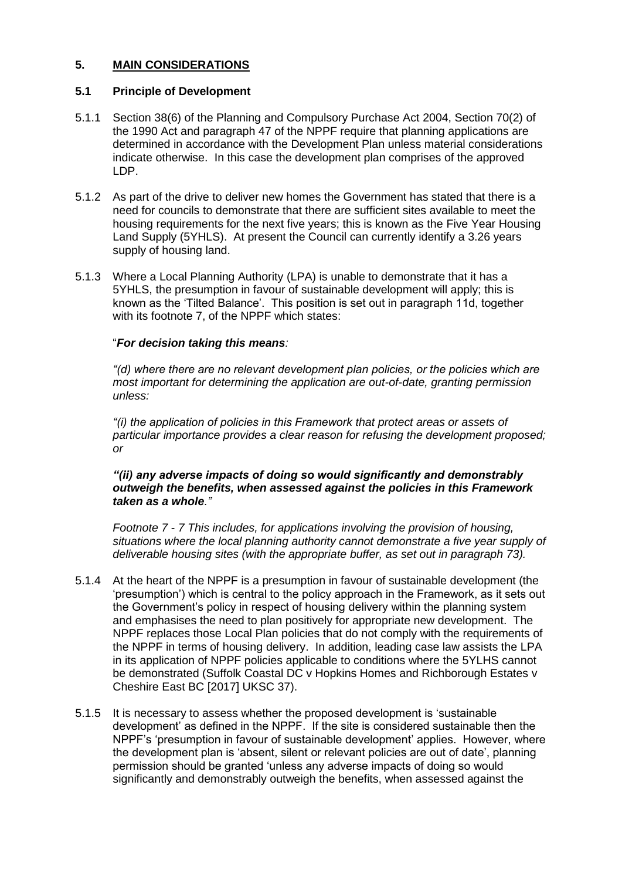# **5. MAIN CONSIDERATIONS**

### **5.1 Principle of Development**

- 5.1.1 Section 38(6) of the Planning and Compulsory Purchase Act 2004, Section 70(2) of the 1990 Act and paragraph 47 of the NPPF require that planning applications are determined in accordance with the Development Plan unless material considerations indicate otherwise. In this case the development plan comprises of the approved LDP.
- 5.1.2 As part of the drive to deliver new homes the Government has stated that there is a need for councils to demonstrate that there are sufficient sites available to meet the housing requirements for the next five years; this is known as the Five Year Housing Land Supply (5YHLS). At present the Council can currently identify a 3.26 years supply of housing land.
- 5.1.3 Where a Local Planning Authority (LPA) is unable to demonstrate that it has a 5YHLS, the presumption in favour of sustainable development will apply; this is known as the 'Tilted Balance'. This position is set out in paragraph 11d, together with its footnote 7, of the NPPF which states:

#### "*For decision taking this means:*

*"(d) where there are no relevant development plan policies, or the policies which are most important for determining the application are out-of-date, granting permission unless:*

*"(i) the application of policies in this Framework that protect areas or assets of particular importance provides a clear reason for refusing the development proposed; or*

### *"(ii) any adverse impacts of doing so would significantly and demonstrably outweigh the benefits, when assessed against the policies in this Framework taken as a whole."*

*Footnote 7 - 7 This includes, for applications involving the provision of housing, situations where the local planning authority cannot demonstrate a five year supply of deliverable housing sites (with the appropriate buffer, as set out in paragraph 73).*

- 5.1.4 At the heart of the NPPF is a presumption in favour of sustainable development (the 'presumption') which is central to the policy approach in the Framework, as it sets out the Government's policy in respect of housing delivery within the planning system and emphasises the need to plan positively for appropriate new development. The NPPF replaces those Local Plan policies that do not comply with the requirements of the NPPF in terms of housing delivery. In addition, leading case law assists the LPA in its application of NPPF policies applicable to conditions where the 5YLHS cannot be demonstrated (Suffolk Coastal DC v Hopkins Homes and Richborough Estates v Cheshire East BC [2017] UKSC 37).
- 5.1.5 It is necessary to assess whether the proposed development is 'sustainable development' as defined in the NPPF. If the site is considered sustainable then the NPPF's 'presumption in favour of sustainable development' applies. However, where the development plan is 'absent, silent or relevant policies are out of date', planning permission should be granted 'unless any adverse impacts of doing so would significantly and demonstrably outweigh the benefits, when assessed against the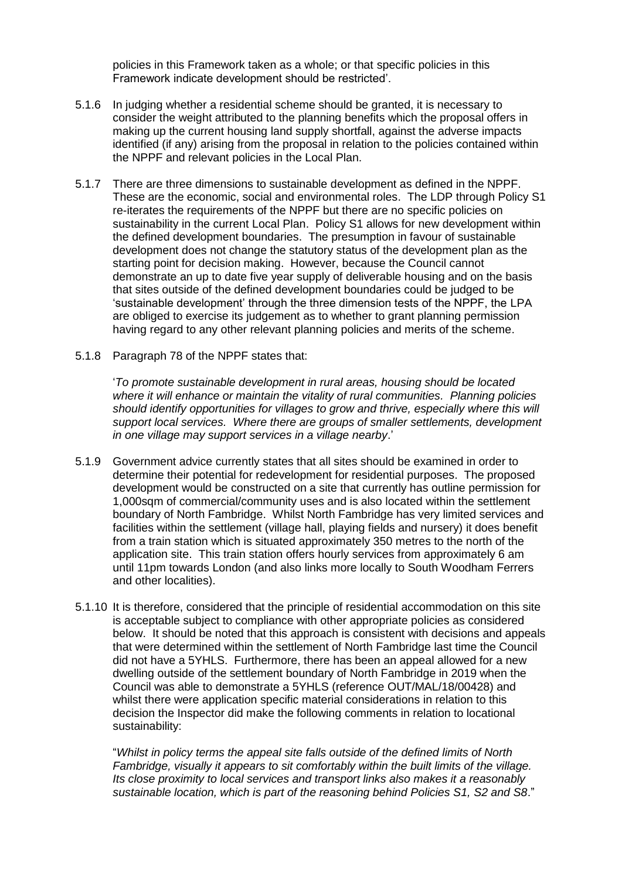policies in this Framework taken as a whole; or that specific policies in this Framework indicate development should be restricted'.

- 5.1.6 In judging whether a residential scheme should be granted, it is necessary to consider the weight attributed to the planning benefits which the proposal offers in making up the current housing land supply shortfall, against the adverse impacts identified (if any) arising from the proposal in relation to the policies contained within the NPPF and relevant policies in the Local Plan.
- 5.1.7 There are three dimensions to sustainable development as defined in the NPPF. These are the economic, social and environmental roles. The LDP through Policy S1 re-iterates the requirements of the NPPF but there are no specific policies on sustainability in the current Local Plan. Policy S1 allows for new development within the defined development boundaries. The presumption in favour of sustainable development does not change the statutory status of the development plan as the starting point for decision making. However, because the Council cannot demonstrate an up to date five year supply of deliverable housing and on the basis that sites outside of the defined development boundaries could be judged to be 'sustainable development' through the three dimension tests of the NPPF, the LPA are obliged to exercise its judgement as to whether to grant planning permission having regard to any other relevant planning policies and merits of the scheme.
- 5.1.8 Paragraph 78 of the NPPF states that:

'*To promote sustainable development in rural areas, housing should be located where it will enhance or maintain the vitality of rural communities. Planning policies should identify opportunities for villages to grow and thrive, especially where this will support local services. Where there are groups of smaller settlements, development in one village may support services in a village nearby*.'

- 5.1.9 Government advice currently states that all sites should be examined in order to determine their potential for redevelopment for residential purposes. The proposed development would be constructed on a site that currently has outline permission for 1,000sqm of commercial/community uses and is also located within the settlement boundary of North Fambridge. Whilst North Fambridge has very limited services and facilities within the settlement (village hall, playing fields and nursery) it does benefit from a train station which is situated approximately 350 metres to the north of the application site. This train station offers hourly services from approximately 6 am until 11pm towards London (and also links more locally to South Woodham Ferrers and other localities).
- 5.1.10 It is therefore, considered that the principle of residential accommodation on this site is acceptable subject to compliance with other appropriate policies as considered below. It should be noted that this approach is consistent with decisions and appeals that were determined within the settlement of North Fambridge last time the Council did not have a 5YHLS. Furthermore, there has been an appeal allowed for a new dwelling outside of the settlement boundary of North Fambridge in 2019 when the Council was able to demonstrate a 5YHLS (reference OUT/MAL/18/00428) and whilst there were application specific material considerations in relation to this decision the Inspector did make the following comments in relation to locational sustainability:

"*Whilst in policy terms the appeal site falls outside of the defined limits of North Fambridge, visually it appears to sit comfortably within the built limits of the village. Its close proximity to local services and transport links also makes it a reasonably sustainable location, which is part of the reasoning behind Policies S1, S2 and S8*."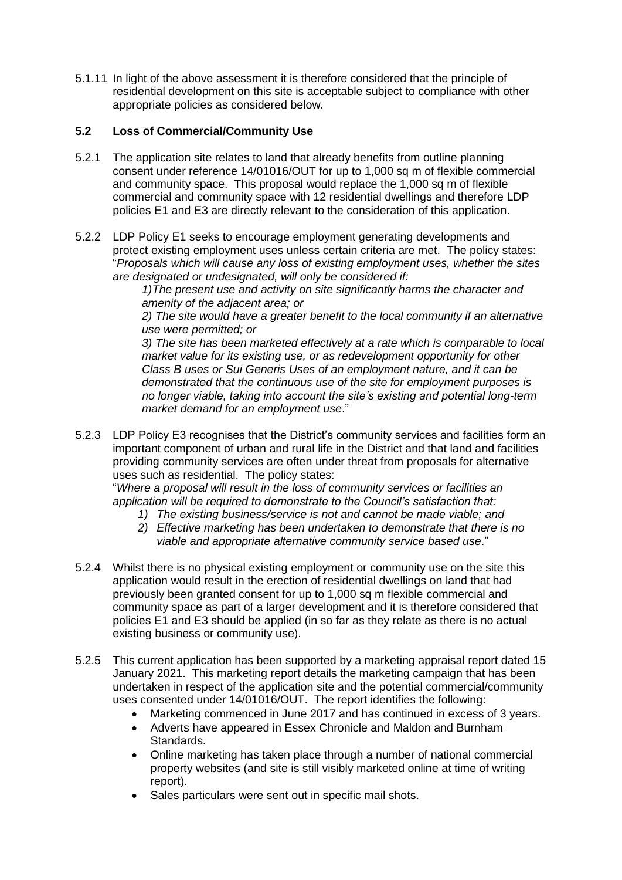5.1.11 In light of the above assessment it is therefore considered that the principle of residential development on this site is acceptable subject to compliance with other appropriate policies as considered below.

# **5.2 Loss of Commercial/Community Use**

- 5.2.1 The application site relates to land that already benefits from outline planning consent under reference 14/01016/OUT for up to 1,000 sq m of flexible commercial and community space. This proposal would replace the 1,000 sq m of flexible commercial and community space with 12 residential dwellings and therefore LDP policies E1 and E3 are directly relevant to the consideration of this application.
- 5.2.2 LDP Policy E1 seeks to encourage employment generating developments and protect existing employment uses unless certain criteria are met. The policy states: "*Proposals which will cause any loss of existing employment uses, whether the sites are designated or undesignated, will only be considered if:*

*1)The present use and activity on site significantly harms the character and amenity of the adjacent area; or*

*2) The site would have a greater benefit to the local community if an alternative use were permitted; or*

*3) The site has been marketed effectively at a rate which is comparable to local market value for its existing use, or as redevelopment opportunity for other Class B uses or Sui Generis Uses of an employment nature, and it can be demonstrated that the continuous use of the site for employment purposes is no longer viable, taking into account the site's existing and potential long-term market demand for an employment use*."

5.2.3 LDP Policy E3 recognises that the District's community services and facilities form an important component of urban and rural life in the District and that land and facilities providing community services are often under threat from proposals for alternative uses such as residential. The policy states:

"*Where a proposal will result in the loss of community services or facilities an application will be required to demonstrate to the Council's satisfaction that:*

- *1) The existing business/service is not and cannot be made viable; and*
- *2) Effective marketing has been undertaken to demonstrate that there is no viable and appropriate alternative community service based use*."
- 5.2.4 Whilst there is no physical existing employment or community use on the site this application would result in the erection of residential dwellings on land that had previously been granted consent for up to 1,000 sq m flexible commercial and community space as part of a larger development and it is therefore considered that policies E1 and E3 should be applied (in so far as they relate as there is no actual existing business or community use).
- 5.2.5 This current application has been supported by a marketing appraisal report dated 15 January 2021. This marketing report details the marketing campaign that has been undertaken in respect of the application site and the potential commercial/community uses consented under 14/01016/OUT. The report identifies the following:
	- Marketing commenced in June 2017 and has continued in excess of 3 years.
	- Adverts have appeared in Essex Chronicle and Maldon and Burnham Standards.
	- Online marketing has taken place through a number of national commercial property websites (and site is still visibly marketed online at time of writing report).
	- Sales particulars were sent out in specific mail shots.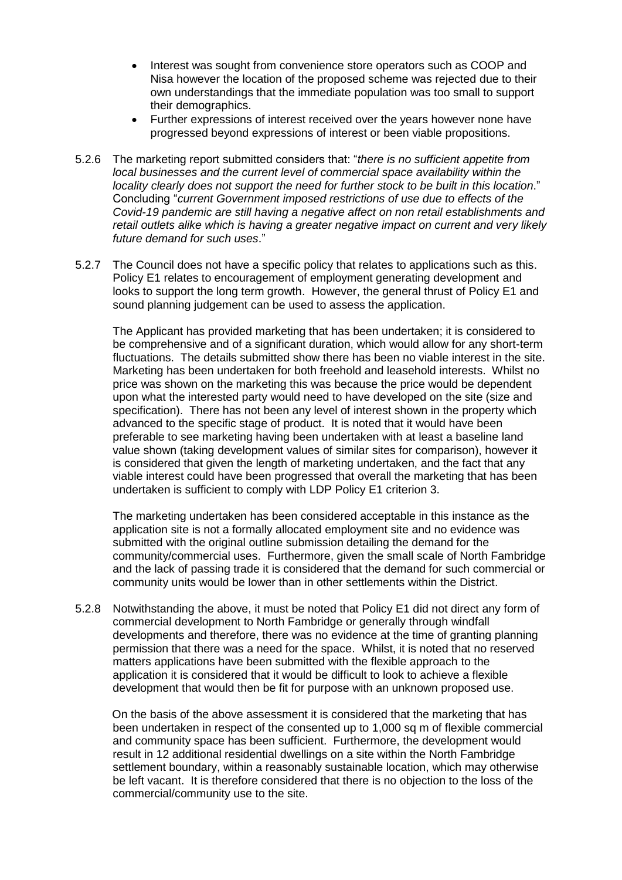- Interest was sought from convenience store operators such as COOP and Nisa however the location of the proposed scheme was rejected due to their own understandings that the immediate population was too small to support their demographics.
- Further expressions of interest received over the years however none have progressed beyond expressions of interest or been viable propositions.
- 5.2.6 The marketing report submitted considers that: "*there is no sufficient appetite from local businesses and the current level of commercial space availability within the locality clearly does not support the need for further stock to be built in this location*." Concluding "*current Government imposed restrictions of use due to effects of the Covid-19 pandemic are still having a negative affect on non retail establishments and retail outlets alike which is having a greater negative impact on current and very likely future demand for such uses*."
- 5.2.7 The Council does not have a specific policy that relates to applications such as this. Policy E1 relates to encouragement of employment generating development and looks to support the long term growth. However, the general thrust of Policy E1 and sound planning judgement can be used to assess the application.

The Applicant has provided marketing that has been undertaken; it is considered to be comprehensive and of a significant duration, which would allow for any short-term fluctuations. The details submitted show there has been no viable interest in the site. Marketing has been undertaken for both freehold and leasehold interests. Whilst no price was shown on the marketing this was because the price would be dependent upon what the interested party would need to have developed on the site (size and specification). There has not been any level of interest shown in the property which advanced to the specific stage of product. It is noted that it would have been preferable to see marketing having been undertaken with at least a baseline land value shown (taking development values of similar sites for comparison), however it is considered that given the length of marketing undertaken, and the fact that any viable interest could have been progressed that overall the marketing that has been undertaken is sufficient to comply with LDP Policy E1 criterion 3.

The marketing undertaken has been considered acceptable in this instance as the application site is not a formally allocated employment site and no evidence was submitted with the original outline submission detailing the demand for the community/commercial uses. Furthermore, given the small scale of North Fambridge and the lack of passing trade it is considered that the demand for such commercial or community units would be lower than in other settlements within the District.

5.2.8 Notwithstanding the above, it must be noted that Policy E1 did not direct any form of commercial development to North Fambridge or generally through windfall developments and therefore, there was no evidence at the time of granting planning permission that there was a need for the space. Whilst, it is noted that no reserved matters applications have been submitted with the flexible approach to the application it is considered that it would be difficult to look to achieve a flexible development that would then be fit for purpose with an unknown proposed use.

On the basis of the above assessment it is considered that the marketing that has been undertaken in respect of the consented up to 1,000 sq m of flexible commercial and community space has been sufficient. Furthermore, the development would result in 12 additional residential dwellings on a site within the North Fambridge settlement boundary, within a reasonably sustainable location, which may otherwise be left vacant. It is therefore considered that there is no objection to the loss of the commercial/community use to the site.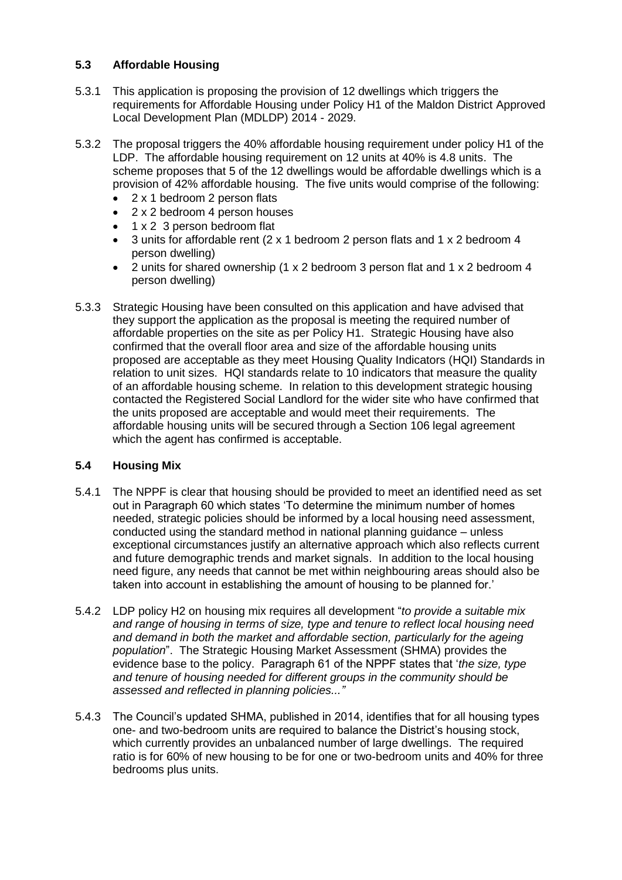# **5.3 Affordable Housing**

- 5.3.1 This application is proposing the provision of 12 dwellings which triggers the requirements for Affordable Housing under Policy H1 of the Maldon District Approved Local Development Plan (MDLDP) 2014 - 2029.
- 5.3.2 The proposal triggers the 40% affordable housing requirement under policy H1 of the LDP. The affordable housing requirement on 12 units at 40% is 4.8 units. The scheme proposes that 5 of the 12 dwellings would be affordable dwellings which is a provision of 42% affordable housing. The five units would comprise of the following:
	- 2 x 1 bedroom 2 person flats
	- 2 x 2 bedroom 4 person houses
	- 1 x 2 3 person bedroom flat
	- 3 units for affordable rent (2 x 1 bedroom 2 person flats and 1 x 2 bedroom 4 person dwelling)
	- 2 units for shared ownership (1 x 2 bedroom 3 person flat and 1 x 2 bedroom 4 person dwelling)
- 5.3.3 Strategic Housing have been consulted on this application and have advised that they support the application as the proposal is meeting the required number of affordable properties on the site as per Policy H1. Strategic Housing have also confirmed that the overall floor area and size of the affordable housing units proposed are acceptable as they meet Housing Quality Indicators (HQI) Standards in relation to unit sizes. HQI standards relate to 10 indicators that measure the quality of an affordable housing scheme. In relation to this development strategic housing contacted the Registered Social Landlord for the wider site who have confirmed that the units proposed are acceptable and would meet their requirements. The affordable housing units will be secured through a Section 106 legal agreement which the agent has confirmed is acceptable.

## **5.4 Housing Mix**

- 5.4.1 The NPPF is clear that housing should be provided to meet an identified need as set out in Paragraph 60 which states 'To determine the minimum number of homes needed, strategic policies should be informed by a local housing need assessment, conducted using the standard method in national planning guidance – unless exceptional circumstances justify an alternative approach which also reflects current and future demographic trends and market signals. In addition to the local housing need figure, any needs that cannot be met within neighbouring areas should also be taken into account in establishing the amount of housing to be planned for.'
- 5.4.2 LDP policy H2 on housing mix requires all development "*to provide a suitable mix and range of housing in terms of size, type and tenure to reflect local housing need and demand in both the market and affordable section, particularly for the ageing population*". The Strategic Housing Market Assessment (SHMA) provides the evidence base to the policy. Paragraph 61 of the NPPF states that '*the size, type and tenure of housing needed for different groups in the community should be assessed and reflected in planning policies..."*
- 5.4.3 The Council's updated SHMA, published in 2014, identifies that for all housing types one- and two-bedroom units are required to balance the District's housing stock, which currently provides an unbalanced number of large dwellings. The required ratio is for 60% of new housing to be for one or two-bedroom units and 40% for three bedrooms plus units.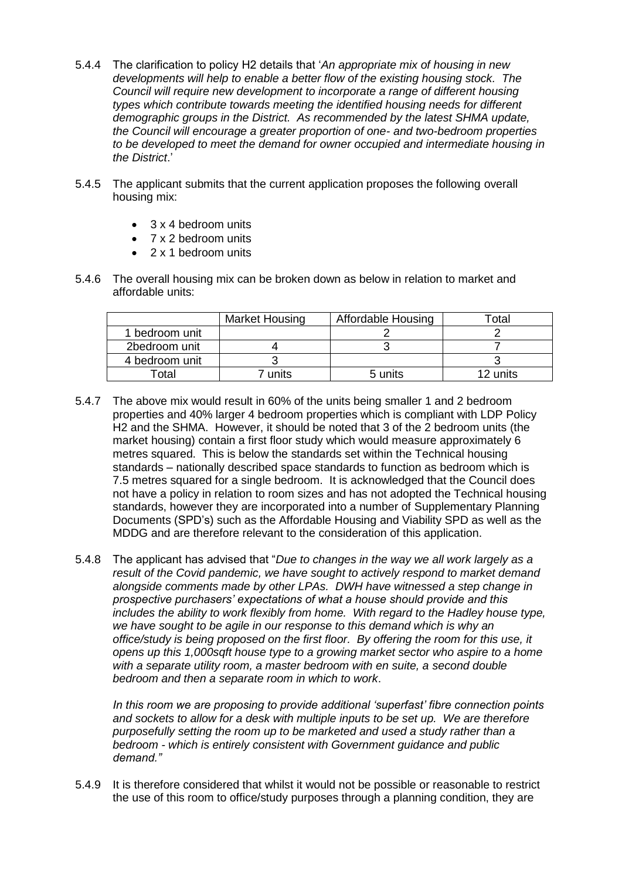- 5.4.4 The clarification to policy H2 details that '*An appropriate mix of housing in new developments will help to enable a better flow of the existing housing stock. The Council will require new development to incorporate a range of different housing types which contribute towards meeting the identified housing needs for different demographic groups in the District. As recommended by the latest SHMA update, the Council will encourage a greater proportion of one- and two-bedroom properties to be developed to meet the demand for owner occupied and intermediate housing in the District*.'
- 5.4.5 The applicant submits that the current application proposes the following overall housing mix:
	- 3 x 4 bedroom units
	- 7 x 2 bedroom units
	- 2 x 1 bedroom units
- 5.4.6 The overall housing mix can be broken down as below in relation to market and affordable units:

|                | <b>Market Housing</b> | Affordable Housing | ⊺otal    |
|----------------|-----------------------|--------------------|----------|
| 1 bedroom unit |                       |                    |          |
| 2bedroom unit  |                       |                    |          |
| 4 bedroom unit |                       |                    |          |
| Total          | units                 | 5 units            | 12 units |

- 5.4.7 The above mix would result in 60% of the units being smaller 1 and 2 bedroom properties and 40% larger 4 bedroom properties which is compliant with LDP Policy H2 and the SHMA. However, it should be noted that 3 of the 2 bedroom units (the market housing) contain a first floor study which would measure approximately 6 metres squared. This is below the standards set within the Technical housing standards – nationally described space standards to function as bedroom which is 7.5 metres squared for a single bedroom. It is acknowledged that the Council does not have a policy in relation to room sizes and has not adopted the Technical housing standards, however they are incorporated into a number of Supplementary Planning Documents (SPD's) such as the Affordable Housing and Viability SPD as well as the MDDG and are therefore relevant to the consideration of this application.
- 5.4.8 The applicant has advised that "*Due to changes in the way we all work largely as a result of the Covid pandemic, we have sought to actively respond to market demand alongside comments made by other LPAs. DWH have witnessed a step change in prospective purchasers' expectations of what a house should provide and this includes the ability to work flexibly from home. With regard to the Hadley house type, we have sought to be agile in our response to this demand which is why an office/study is being proposed on the first floor. By offering the room for this use, it opens up this 1,000sqft house type to a growing market sector who aspire to a home with a separate utility room, a master bedroom with en suite, a second double bedroom and then a separate room in which to work*.

*In this room we are proposing to provide additional 'superfast' fibre connection points and sockets to allow for a desk with multiple inputs to be set up. We are therefore purposefully setting the room up to be marketed and used a study rather than a bedroom - which is entirely consistent with Government guidance and public demand."*

5.4.9 It is therefore considered that whilst it would not be possible or reasonable to restrict the use of this room to office/study purposes through a planning condition, they are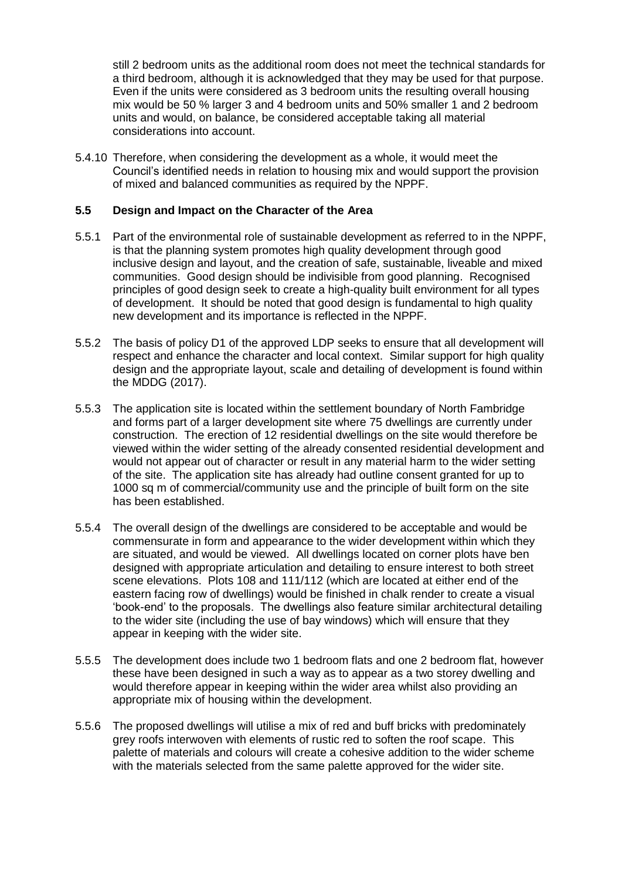still 2 bedroom units as the additional room does not meet the technical standards for a third bedroom, although it is acknowledged that they may be used for that purpose. Even if the units were considered as 3 bedroom units the resulting overall housing mix would be 50 % larger 3 and 4 bedroom units and 50% smaller 1 and 2 bedroom units and would, on balance, be considered acceptable taking all material considerations into account.

5.4.10 Therefore, when considering the development as a whole, it would meet the Council's identified needs in relation to housing mix and would support the provision of mixed and balanced communities as required by the NPPF.

### **5.5 Design and Impact on the Character of the Area**

- 5.5.1 Part of the environmental role of sustainable development as referred to in the NPPF, is that the planning system promotes high quality development through good inclusive design and layout, and the creation of safe, sustainable, liveable and mixed communities. Good design should be indivisible from good planning. Recognised principles of good design seek to create a high-quality built environment for all types of development. It should be noted that good design is fundamental to high quality new development and its importance is reflected in the NPPF.
- 5.5.2 The basis of policy D1 of the approved LDP seeks to ensure that all development will respect and enhance the character and local context. Similar support for high quality design and the appropriate layout, scale and detailing of development is found within the MDDG (2017).
- 5.5.3 The application site is located within the settlement boundary of North Fambridge and forms part of a larger development site where 75 dwellings are currently under construction. The erection of 12 residential dwellings on the site would therefore be viewed within the wider setting of the already consented residential development and would not appear out of character or result in any material harm to the wider setting of the site. The application site has already had outline consent granted for up to 1000 sq m of commercial/community use and the principle of built form on the site has been established.
- 5.5.4 The overall design of the dwellings are considered to be acceptable and would be commensurate in form and appearance to the wider development within which they are situated, and would be viewed. All dwellings located on corner plots have ben designed with appropriate articulation and detailing to ensure interest to both street scene elevations. Plots 108 and 111/112 (which are located at either end of the eastern facing row of dwellings) would be finished in chalk render to create a visual 'book-end' to the proposals. The dwellings also feature similar architectural detailing to the wider site (including the use of bay windows) which will ensure that they appear in keeping with the wider site.
- 5.5.5 The development does include two 1 bedroom flats and one 2 bedroom flat, however these have been designed in such a way as to appear as a two storey dwelling and would therefore appear in keeping within the wider area whilst also providing an appropriate mix of housing within the development.
- 5.5.6 The proposed dwellings will utilise a mix of red and buff bricks with predominately grey roofs interwoven with elements of rustic red to soften the roof scape. This palette of materials and colours will create a cohesive addition to the wider scheme with the materials selected from the same palette approved for the wider site.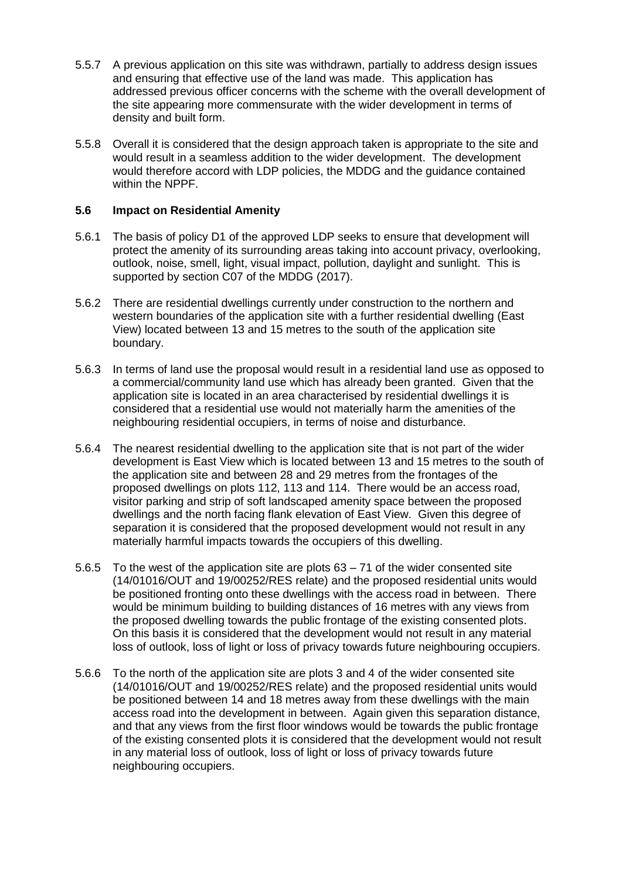- 5.5.7 A previous application on this site was withdrawn, partially to address design issues and ensuring that effective use of the land was made. This application has addressed previous officer concerns with the scheme with the overall development of the site appearing more commensurate with the wider development in terms of density and built form.
- 5.5.8 Overall it is considered that the design approach taken is appropriate to the site and would result in a seamless addition to the wider development. The development would therefore accord with LDP policies, the MDDG and the guidance contained within the NPPF.

## **5.6 Impact on Residential Amenity**

- 5.6.1 The basis of policy D1 of the approved LDP seeks to ensure that development will protect the amenity of its surrounding areas taking into account privacy, overlooking, outlook, noise, smell, light, visual impact, pollution, daylight and sunlight. This is supported by section C07 of the MDDG (2017).
- 5.6.2 There are residential dwellings currently under construction to the northern and western boundaries of the application site with a further residential dwelling (East View) located between 13 and 15 metres to the south of the application site boundary.
- 5.6.3 In terms of land use the proposal would result in a residential land use as opposed to a commercial/community land use which has already been granted. Given that the application site is located in an area characterised by residential dwellings it is considered that a residential use would not materially harm the amenities of the neighbouring residential occupiers, in terms of noise and disturbance.
- 5.6.4 The nearest residential dwelling to the application site that is not part of the wider development is East View which is located between 13 and 15 metres to the south of the application site and between 28 and 29 metres from the frontages of the proposed dwellings on plots 112, 113 and 114. There would be an access road, visitor parking and strip of soft landscaped amenity space between the proposed dwellings and the north facing flank elevation of East View. Given this degree of separation it is considered that the proposed development would not result in any materially harmful impacts towards the occupiers of this dwelling.
- 5.6.5 To the west of the application site are plots 63 71 of the wider consented site (14/01016/OUT and 19/00252/RES relate) and the proposed residential units would be positioned fronting onto these dwellings with the access road in between. There would be minimum building to building distances of 16 metres with any views from the proposed dwelling towards the public frontage of the existing consented plots. On this basis it is considered that the development would not result in any material loss of outlook, loss of light or loss of privacy towards future neighbouring occupiers.
- 5.6.6 To the north of the application site are plots 3 and 4 of the wider consented site (14/01016/OUT and 19/00252/RES relate) and the proposed residential units would be positioned between 14 and 18 metres away from these dwellings with the main access road into the development in between. Again given this separation distance, and that any views from the first floor windows would be towards the public frontage of the existing consented plots it is considered that the development would not result in any material loss of outlook, loss of light or loss of privacy towards future neighbouring occupiers.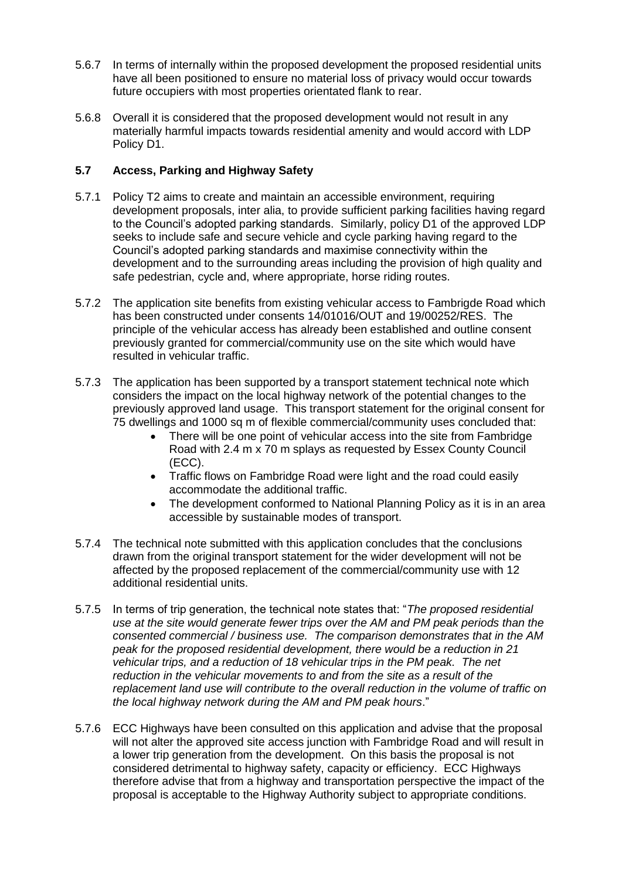- 5.6.7 In terms of internally within the proposed development the proposed residential units have all been positioned to ensure no material loss of privacy would occur towards future occupiers with most properties orientated flank to rear.
- 5.6.8 Overall it is considered that the proposed development would not result in any materially harmful impacts towards residential amenity and would accord with LDP Policy D1.

# **5.7 Access, Parking and Highway Safety**

- 5.7.1 Policy T2 aims to create and maintain an accessible environment, requiring development proposals, inter alia, to provide sufficient parking facilities having regard to the Council's adopted parking standards. Similarly, policy D1 of the approved LDP seeks to include safe and secure vehicle and cycle parking having regard to the Council's adopted parking standards and maximise connectivity within the development and to the surrounding areas including the provision of high quality and safe pedestrian, cycle and, where appropriate, horse riding routes.
- 5.7.2 The application site benefits from existing vehicular access to Fambrigde Road which has been constructed under consents 14/01016/OUT and 19/00252/RES. The principle of the vehicular access has already been established and outline consent previously granted for commercial/community use on the site which would have resulted in vehicular traffic.
- 5.7.3 The application has been supported by a transport statement technical note which considers the impact on the local highway network of the potential changes to the previously approved land usage. This transport statement for the original consent for 75 dwellings and 1000 sq m of flexible commercial/community uses concluded that:
	- There will be one point of vehicular access into the site from Fambridge Road with 2.4 m x 70 m splays as requested by Essex County Council (ECC).
	- Traffic flows on Fambridge Road were light and the road could easily accommodate the additional traffic.
	- The development conformed to National Planning Policy as it is in an area accessible by sustainable modes of transport.
- 5.7.4 The technical note submitted with this application concludes that the conclusions drawn from the original transport statement for the wider development will not be affected by the proposed replacement of the commercial/community use with 12 additional residential units.
- 5.7.5 In terms of trip generation, the technical note states that: "*The proposed residential use at the site would generate fewer trips over the AM and PM peak periods than the consented commercial / business use. The comparison demonstrates that in the AM peak for the proposed residential development, there would be a reduction in 21 vehicular trips, and a reduction of 18 vehicular trips in the PM peak. The net reduction in the vehicular movements to and from the site as a result of the replacement land use will contribute to the overall reduction in the volume of traffic on the local highway network during the AM and PM peak hours*."
- 5.7.6 ECC Highways have been consulted on this application and advise that the proposal will not alter the approved site access junction with Fambridge Road and will result in a lower trip generation from the development. On this basis the proposal is not considered detrimental to highway safety, capacity or efficiency. ECC Highways therefore advise that from a highway and transportation perspective the impact of the proposal is acceptable to the Highway Authority subject to appropriate conditions.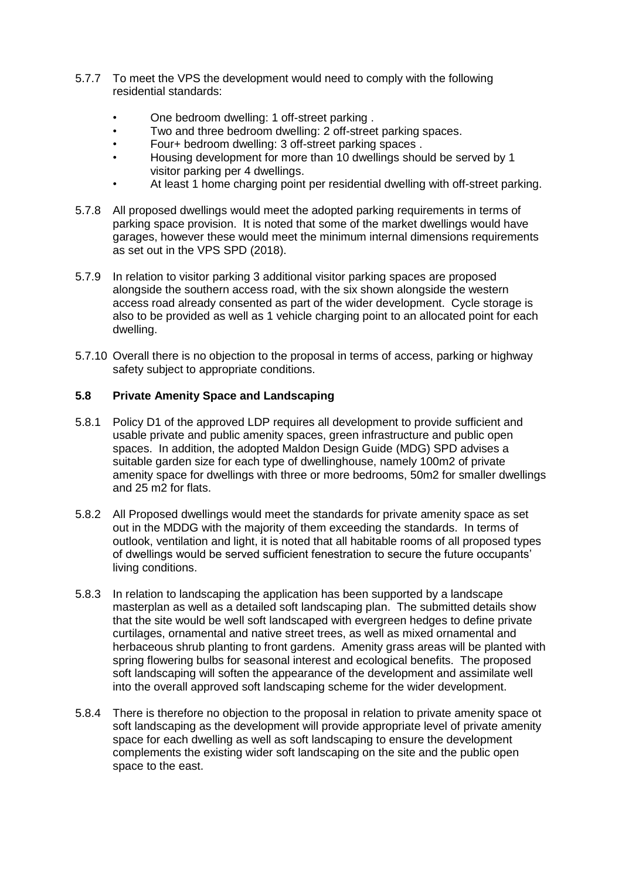- 5.7.7 To meet the VPS the development would need to comply with the following residential standards:
	- One bedroom dwelling: 1 off-street parking .
	- Two and three bedroom dwelling: 2 off-street parking spaces.
	- Four+ bedroom dwelling: 3 off-street parking spaces .
	- Housing development for more than 10 dwellings should be served by 1 visitor parking per 4 dwellings.
	- At least 1 home charging point per residential dwelling with off-street parking.
- 5.7.8 All proposed dwellings would meet the adopted parking requirements in terms of parking space provision. It is noted that some of the market dwellings would have garages, however these would meet the minimum internal dimensions requirements as set out in the VPS SPD (2018).
- 5.7.9 In relation to visitor parking 3 additional visitor parking spaces are proposed alongside the southern access road, with the six shown alongside the western access road already consented as part of the wider development. Cycle storage is also to be provided as well as 1 vehicle charging point to an allocated point for each dwelling.
- 5.7.10 Overall there is no objection to the proposal in terms of access, parking or highway safety subject to appropriate conditions.

## **5.8 Private Amenity Space and Landscaping**

- 5.8.1 Policy D1 of the approved LDP requires all development to provide sufficient and usable private and public amenity spaces, green infrastructure and public open spaces. In addition, the adopted Maldon Design Guide (MDG) SPD advises a suitable garden size for each type of dwellinghouse, namely 100m2 of private amenity space for dwellings with three or more bedrooms, 50m2 for smaller dwellings and 25 m2 for flats.
- 5.8.2 All Proposed dwellings would meet the standards for private amenity space as set out in the MDDG with the majority of them exceeding the standards. In terms of outlook, ventilation and light, it is noted that all habitable rooms of all proposed types of dwellings would be served sufficient fenestration to secure the future occupants' living conditions.
- 5.8.3 In relation to landscaping the application has been supported by a landscape masterplan as well as a detailed soft landscaping plan. The submitted details show that the site would be well soft landscaped with evergreen hedges to define private curtilages, ornamental and native street trees, as well as mixed ornamental and herbaceous shrub planting to front gardens. Amenity grass areas will be planted with spring flowering bulbs for seasonal interest and ecological benefits. The proposed soft landscaping will soften the appearance of the development and assimilate well into the overall approved soft landscaping scheme for the wider development.
- 5.8.4 There is therefore no objection to the proposal in relation to private amenity space ot soft landscaping as the development will provide appropriate level of private amenity space for each dwelling as well as soft landscaping to ensure the development complements the existing wider soft landscaping on the site and the public open space to the east.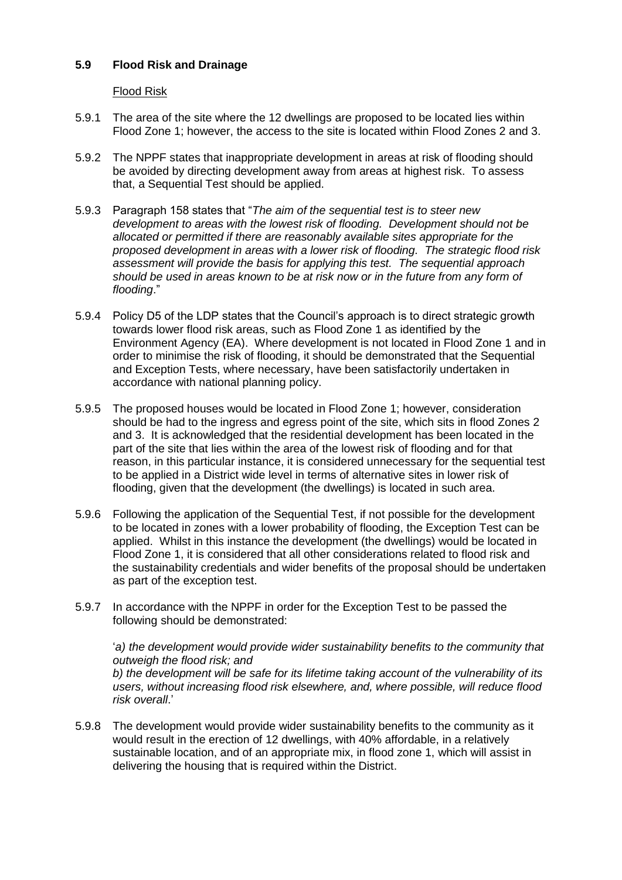# **5.9 Flood Risk and Drainage**

### Flood Risk

- 5.9.1 The area of the site where the 12 dwellings are proposed to be located lies within Flood Zone 1; however, the access to the site is located within Flood Zones 2 and 3.
- 5.9.2 The NPPF states that inappropriate development in areas at risk of flooding should be avoided by directing development away from areas at highest risk. To assess that, a Sequential Test should be applied.
- 5.9.3 Paragraph 158 states that "*The aim of the sequential test is to steer new development to areas with the lowest risk of flooding. Development should not be allocated or permitted if there are reasonably available sites appropriate for the proposed development in areas with a lower risk of flooding. The strategic flood risk assessment will provide the basis for applying this test. The sequential approach should be used in areas known to be at risk now or in the future from any form of flooding*."
- 5.9.4 Policy D5 of the LDP states that the Council's approach is to direct strategic growth towards lower flood risk areas, such as Flood Zone 1 as identified by the Environment Agency (EA). Where development is not located in Flood Zone 1 and in order to minimise the risk of flooding, it should be demonstrated that the Sequential and Exception Tests, where necessary, have been satisfactorily undertaken in accordance with national planning policy.
- 5.9.5 The proposed houses would be located in Flood Zone 1; however, consideration should be had to the ingress and egress point of the site, which sits in flood Zones 2 and 3. It is acknowledged that the residential development has been located in the part of the site that lies within the area of the lowest risk of flooding and for that reason, in this particular instance, it is considered unnecessary for the sequential test to be applied in a District wide level in terms of alternative sites in lower risk of flooding, given that the development (the dwellings) is located in such area.
- 5.9.6 Following the application of the Sequential Test, if not possible for the development to be located in zones with a lower probability of flooding, the Exception Test can be applied. Whilst in this instance the development (the dwellings) would be located in Flood Zone 1, it is considered that all other considerations related to flood risk and the sustainability credentials and wider benefits of the proposal should be undertaken as part of the exception test.
- 5.9.7 In accordance with the NPPF in order for the Exception Test to be passed the following should be demonstrated:

'*a) the development would provide wider sustainability benefits to the community that outweigh the flood risk; and b) the development will be safe for its lifetime taking account of the vulnerability of its users, without increasing flood risk elsewhere, and, where possible, will reduce flood risk overall*.'

5.9.8 The development would provide wider sustainability benefits to the community as it would result in the erection of 12 dwellings, with 40% affordable, in a relatively sustainable location, and of an appropriate mix, in flood zone 1, which will assist in delivering the housing that is required within the District.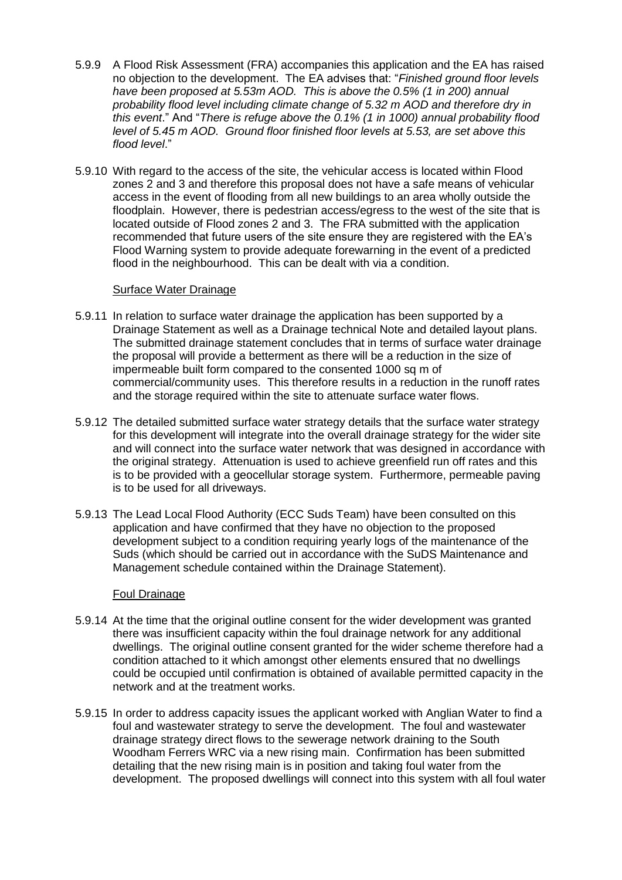- 5.9.9 A Flood Risk Assessment (FRA) accompanies this application and the EA has raised no objection to the development. The EA advises that: "*Finished ground floor levels have been proposed at 5.53m AOD. This is above the 0.5% (1 in 200) annual probability flood level including climate change of 5.32 m AOD and therefore dry in this event*." And "*There is refuge above the 0.1% (1 in 1000) annual probability flood level of 5.45 m AOD. Ground floor finished floor levels at 5.53, are set above this flood level*."
- 5.9.10 With regard to the access of the site, the vehicular access is located within Flood zones 2 and 3 and therefore this proposal does not have a safe means of vehicular access in the event of flooding from all new buildings to an area wholly outside the floodplain. However, there is pedestrian access/egress to the west of the site that is located outside of Flood zones 2 and 3. The FRA submitted with the application recommended that future users of the site ensure they are registered with the EA's Flood Warning system to provide adequate forewarning in the event of a predicted flood in the neighbourhood. This can be dealt with via a condition.

#### Surface Water Drainage

- 5.9.11 In relation to surface water drainage the application has been supported by a Drainage Statement as well as a Drainage technical Note and detailed layout plans. The submitted drainage statement concludes that in terms of surface water drainage the proposal will provide a betterment as there will be a reduction in the size of impermeable built form compared to the consented 1000 sq m of commercial/community uses. This therefore results in a reduction in the runoff rates and the storage required within the site to attenuate surface water flows.
- 5.9.12 The detailed submitted surface water strategy details that the surface water strategy for this development will integrate into the overall drainage strategy for the wider site and will connect into the surface water network that was designed in accordance with the original strategy. Attenuation is used to achieve greenfield run off rates and this is to be provided with a geocellular storage system. Furthermore, permeable paving is to be used for all driveways.
- 5.9.13 The Lead Local Flood Authority (ECC Suds Team) have been consulted on this application and have confirmed that they have no objection to the proposed development subject to a condition requiring yearly logs of the maintenance of the Suds (which should be carried out in accordance with the SuDS Maintenance and Management schedule contained within the Drainage Statement).

#### Foul Drainage

- 5.9.14 At the time that the original outline consent for the wider development was granted there was insufficient capacity within the foul drainage network for any additional dwellings. The original outline consent granted for the wider scheme therefore had a condition attached to it which amongst other elements ensured that no dwellings could be occupied until confirmation is obtained of available permitted capacity in the network and at the treatment works.
- 5.9.15 In order to address capacity issues the applicant worked with Anglian Water to find a foul and wastewater strategy to serve the development. The foul and wastewater drainage strategy direct flows to the sewerage network draining to the South Woodham Ferrers WRC via a new rising main. Confirmation has been submitted detailing that the new rising main is in position and taking foul water from the development. The proposed dwellings will connect into this system with all foul water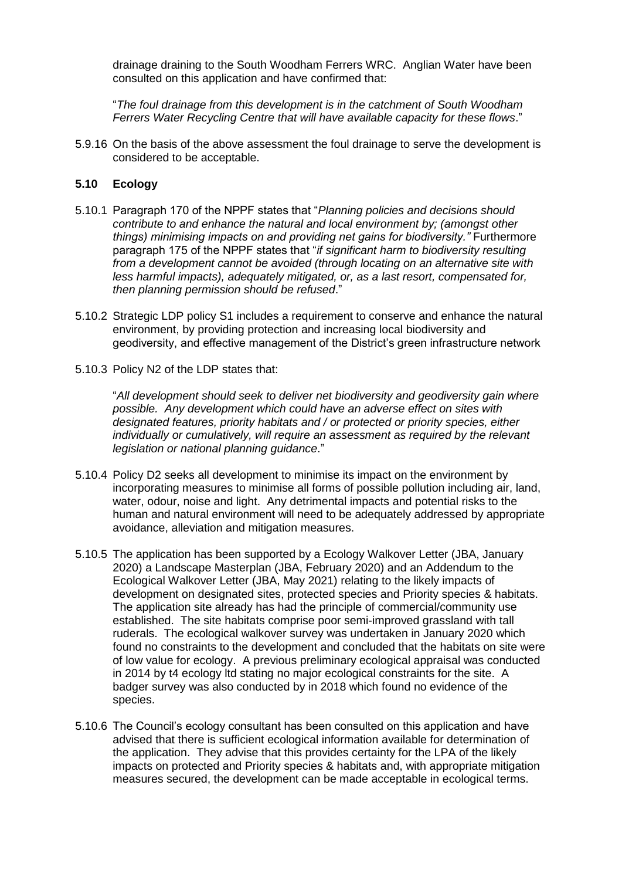drainage draining to the South Woodham Ferrers WRC. Anglian Water have been consulted on this application and have confirmed that:

"*The foul drainage from this development is in the catchment of South Woodham Ferrers Water Recycling Centre that will have available capacity for these flows*."

5.9.16 On the basis of the above assessment the foul drainage to serve the development is considered to be acceptable.

## **5.10 Ecology**

- 5.10.1 Paragraph 170 of the NPPF states that "*Planning policies and decisions should contribute to and enhance the natural and local environment by; (amongst other things) minimising impacts on and providing net gains for biodiversity."* Furthermore paragraph 175 of the NPPF states that "*if significant harm to biodiversity resulting from a development cannot be avoided (through locating on an alternative site with less harmful impacts), adequately mitigated, or, as a last resort, compensated for, then planning permission should be refused*."
- 5.10.2 Strategic LDP policy S1 includes a requirement to conserve and enhance the natural environment, by providing protection and increasing local biodiversity and geodiversity, and effective management of the District's green infrastructure network
- 5.10.3 Policy N2 of the LDP states that:

"*All development should seek to deliver net biodiversity and geodiversity gain where possible. Any development which could have an adverse effect on sites with designated features, priority habitats and / or protected or priority species, either individually or cumulatively, will require an assessment as required by the relevant legislation or national planning guidance*."

- 5.10.4 Policy D2 seeks all development to minimise its impact on the environment by incorporating measures to minimise all forms of possible pollution including air, land, water, odour, noise and light. Any detrimental impacts and potential risks to the human and natural environment will need to be adequately addressed by appropriate avoidance, alleviation and mitigation measures.
- 5.10.5 The application has been supported by a Ecology Walkover Letter (JBA, January 2020) a Landscape Masterplan (JBA, February 2020) and an Addendum to the Ecological Walkover Letter (JBA, May 2021) relating to the likely impacts of development on designated sites, protected species and Priority species & habitats. The application site already has had the principle of commercial/community use established. The site habitats comprise poor semi-improved grassland with tall ruderals. The ecological walkover survey was undertaken in January 2020 which found no constraints to the development and concluded that the habitats on site were of low value for ecology. A previous preliminary ecological appraisal was conducted in 2014 by t4 ecology ltd stating no major ecological constraints for the site. A badger survey was also conducted by in 2018 which found no evidence of the species.
- 5.10.6 The Council's ecology consultant has been consulted on this application and have advised that there is sufficient ecological information available for determination of the application. They advise that this provides certainty for the LPA of the likely impacts on protected and Priority species & habitats and, with appropriate mitigation measures secured, the development can be made acceptable in ecological terms.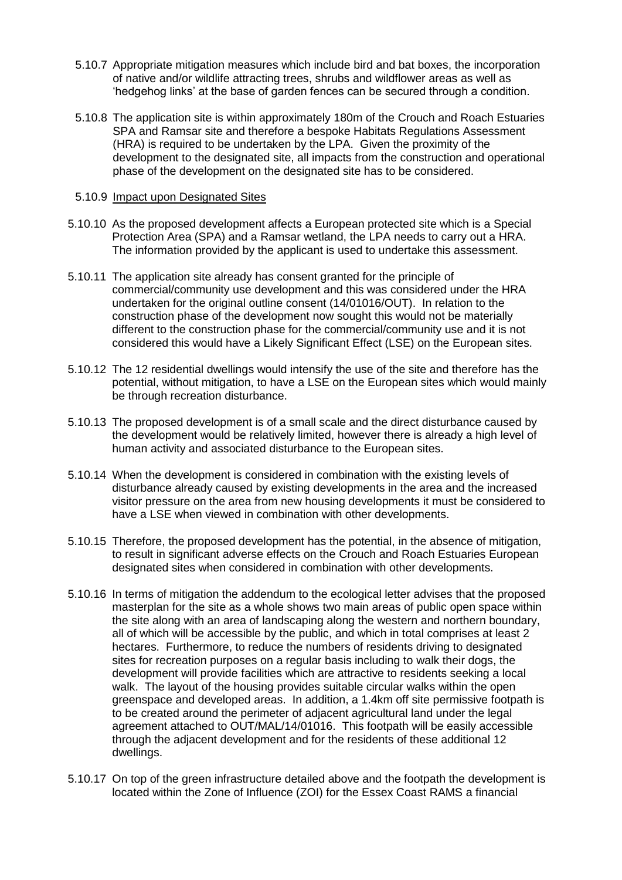- 5.10.7 Appropriate mitigation measures which include bird and bat boxes, the incorporation of native and/or wildlife attracting trees, shrubs and wildflower areas as well as 'hedgehog links' at the base of garden fences can be secured through a condition.
- 5.10.8 The application site is within approximately 180m of the Crouch and Roach Estuaries SPA and Ramsar site and therefore a bespoke Habitats Regulations Assessment (HRA) is required to be undertaken by the LPA. Given the proximity of the development to the designated site, all impacts from the construction and operational phase of the development on the designated site has to be considered.

#### 5.10.9 Impact upon Designated Sites

- 5.10.10 As the proposed development affects a European protected site which is a Special Protection Area (SPA) and a Ramsar wetland, the LPA needs to carry out a HRA. The information provided by the applicant is used to undertake this assessment.
- 5.10.11 The application site already has consent granted for the principle of commercial/community use development and this was considered under the HRA undertaken for the original outline consent (14/01016/OUT). In relation to the construction phase of the development now sought this would not be materially different to the construction phase for the commercial/community use and it is not considered this would have a Likely Significant Effect (LSE) on the European sites.
- 5.10.12 The 12 residential dwellings would intensify the use of the site and therefore has the potential, without mitigation, to have a LSE on the European sites which would mainly be through recreation disturbance.
- 5.10.13 The proposed development is of a small scale and the direct disturbance caused by the development would be relatively limited, however there is already a high level of human activity and associated disturbance to the European sites.
- 5.10.14 When the development is considered in combination with the existing levels of disturbance already caused by existing developments in the area and the increased visitor pressure on the area from new housing developments it must be considered to have a LSE when viewed in combination with other developments.
- 5.10.15 Therefore, the proposed development has the potential, in the absence of mitigation, to result in significant adverse effects on the Crouch and Roach Estuaries European designated sites when considered in combination with other developments.
- 5.10.16 In terms of mitigation the addendum to the ecological letter advises that the proposed masterplan for the site as a whole shows two main areas of public open space within the site along with an area of landscaping along the western and northern boundary, all of which will be accessible by the public, and which in total comprises at least 2 hectares. Furthermore, to reduce the numbers of residents driving to designated sites for recreation purposes on a regular basis including to walk their dogs, the development will provide facilities which are attractive to residents seeking a local walk. The layout of the housing provides suitable circular walks within the open greenspace and developed areas. In addition, a 1.4km off site permissive footpath is to be created around the perimeter of adjacent agricultural land under the legal agreement attached to OUT/MAL/14/01016. This footpath will be easily accessible through the adjacent development and for the residents of these additional 12 dwellings.
- 5.10.17 On top of the green infrastructure detailed above and the footpath the development is located within the Zone of Influence (ZOI) for the Essex Coast RAMS a financial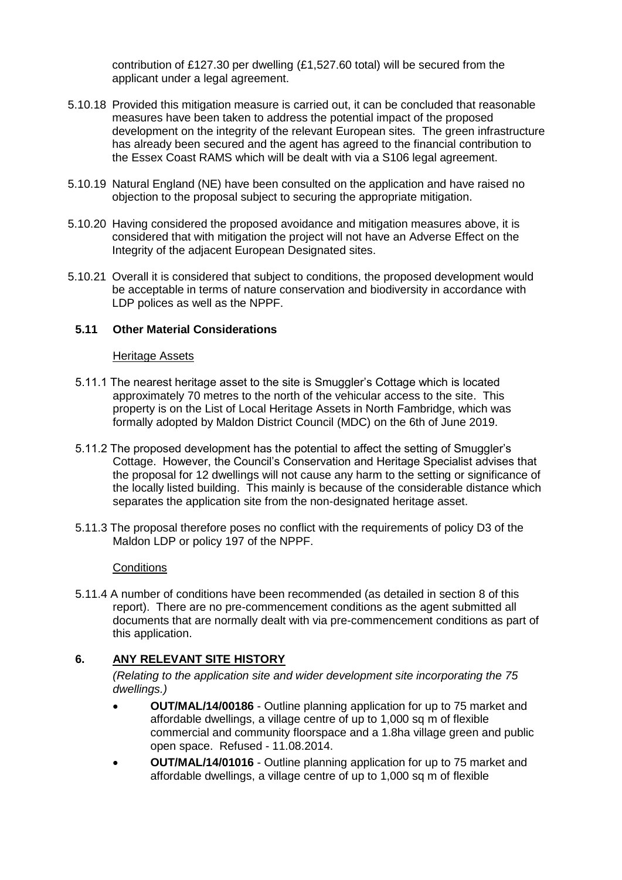contribution of £127.30 per dwelling (£1,527.60 total) will be secured from the applicant under a legal agreement.

- 5.10.18 Provided this mitigation measure is carried out, it can be concluded that reasonable measures have been taken to address the potential impact of the proposed development on the integrity of the relevant European sites. The green infrastructure has already been secured and the agent has agreed to the financial contribution to the Essex Coast RAMS which will be dealt with via a S106 legal agreement.
- 5.10.19 Natural England (NE) have been consulted on the application and have raised no objection to the proposal subject to securing the appropriate mitigation.
- 5.10.20 Having considered the proposed avoidance and mitigation measures above, it is considered that with mitigation the project will not have an Adverse Effect on the Integrity of the adjacent European Designated sites.
- 5.10.21 Overall it is considered that subject to conditions, the proposed development would be acceptable in terms of nature conservation and biodiversity in accordance with LDP polices as well as the NPPF.

## **5.11 Other Material Considerations**

#### Heritage Assets

- 5.11.1 The nearest heritage asset to the site is Smuggler's Cottage which is located approximately 70 metres to the north of the vehicular access to the site. This property is on the List of Local Heritage Assets in North Fambridge, which was formally adopted by Maldon District Council (MDC) on the 6th of June 2019.
- 5.11.2 The proposed development has the potential to affect the setting of Smuggler's Cottage. However, the Council's Conservation and Heritage Specialist advises that the proposal for 12 dwellings will not cause any harm to the setting or significance of the locally listed building. This mainly is because of the considerable distance which separates the application site from the non-designated heritage asset.
- 5.11.3 The proposal therefore poses no conflict with the requirements of policy D3 of the Maldon LDP or policy 197 of the NPPF.

#### **Conditions**

5.11.4 A number of conditions have been recommended (as detailed in section 8 of this report). There are no pre-commencement conditions as the agent submitted all documents that are normally dealt with via pre-commencement conditions as part of this application.

## **6. ANY RELEVANT SITE HISTORY**

*(Relating to the application site and wider development site incorporating the 75 dwellings.)*

- **OUT/MAL/14/00186** Outline planning application for up to 75 market and affordable dwellings, a village centre of up to 1,000 sq m of flexible commercial and community floorspace and a 1.8ha village green and public open space. Refused - 11.08.2014.
- **OUT/MAL/14/01016** Outline planning application for up to 75 market and affordable dwellings, a village centre of up to 1,000 sq m of flexible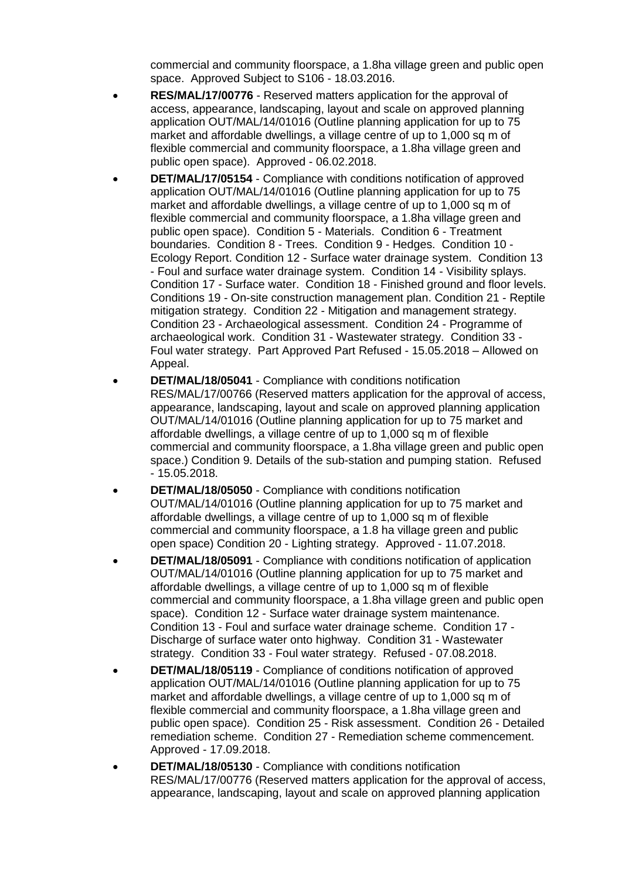commercial and community floorspace, a 1.8ha village green and public open space. Approved Subject to S106 - 18.03.2016.

- **RES/MAL/17/00776** Reserved matters application for the approval of access, appearance, landscaping, layout and scale on approved planning application OUT/MAL/14/01016 (Outline planning application for up to 75 market and affordable dwellings, a village centre of up to 1,000 sq m of flexible commercial and community floorspace, a 1.8ha village green and public open space). Approved - 06.02.2018.
- **DET/MAL/17/05154** Compliance with conditions notification of approved application OUT/MAL/14/01016 (Outline planning application for up to 75 market and affordable dwellings, a village centre of up to 1,000 sq m of flexible commercial and community floorspace, a 1.8ha village green and public open space). Condition 5 - Materials. Condition 6 - Treatment boundaries. Condition 8 - Trees. Condition 9 - Hedges. Condition 10 - Ecology Report. Condition 12 - Surface water drainage system. Condition 13 - Foul and surface water drainage system. Condition 14 - Visibility splays. Condition 17 - Surface water. Condition 18 - Finished ground and floor levels. Conditions 19 - On-site construction management plan. Condition 21 - Reptile mitigation strategy. Condition 22 - Mitigation and management strategy. Condition 23 - Archaeological assessment. Condition 24 - Programme of archaeological work. Condition 31 - Wastewater strategy. Condition 33 - Foul water strategy. Part Approved Part Refused - 15.05.2018 – Allowed on Appeal.
- **DET/MAL/18/05041** Compliance with conditions notification RES/MAL/17/00766 (Reserved matters application for the approval of access, appearance, landscaping, layout and scale on approved planning application OUT/MAL/14/01016 (Outline planning application for up to 75 market and affordable dwellings, a village centre of up to 1,000 sq m of flexible commercial and community floorspace, a 1.8ha village green and public open space.) Condition 9. Details of the sub-station and pumping station. Refused - 15.05.2018.
- **DET/MAL/18/05050** Compliance with conditions notification OUT/MAL/14/01016 (Outline planning application for up to 75 market and affordable dwellings, a village centre of up to 1,000 sq m of flexible commercial and community floorspace, a 1.8 ha village green and public open space) Condition 20 - Lighting strategy. Approved - 11.07.2018.
- **DET/MAL/18/05091** Compliance with conditions notification of application OUT/MAL/14/01016 (Outline planning application for up to 75 market and affordable dwellings, a village centre of up to 1,000 sq m of flexible commercial and community floorspace, a 1.8ha village green and public open space). Condition 12 - Surface water drainage system maintenance. Condition 13 - Foul and surface water drainage scheme. Condition 17 - Discharge of surface water onto highway. Condition 31 - Wastewater strategy. Condition 33 - Foul water strategy. Refused - 07.08.2018.
- **DET/MAL/18/05119** Compliance of conditions notification of approved application OUT/MAL/14/01016 (Outline planning application for up to 75 market and affordable dwellings, a village centre of up to 1,000 sq m of flexible commercial and community floorspace, a 1.8ha village green and public open space). Condition 25 - Risk assessment. Condition 26 - Detailed remediation scheme. Condition 27 - Remediation scheme commencement. Approved - 17.09.2018.
- **DET/MAL/18/05130** Compliance with conditions notification RES/MAL/17/00776 (Reserved matters application for the approval of access, appearance, landscaping, layout and scale on approved planning application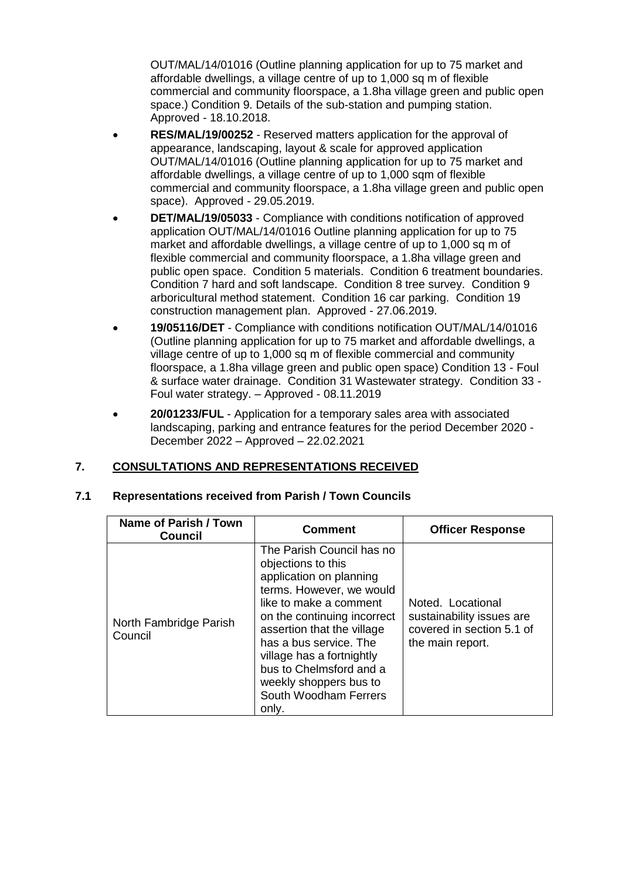OUT/MAL/14/01016 (Outline planning application for up to 75 market and affordable dwellings, a village centre of up to 1,000 sq m of flexible commercial and community floorspace, a 1.8ha village green and public open space.) Condition 9. Details of the sub-station and pumping station. Approved - 18.10.2018.

- **RES/MAL/19/00252** Reserved matters application for the approval of appearance, landscaping, layout & scale for approved application OUT/MAL/14/01016 (Outline planning application for up to 75 market and affordable dwellings, a village centre of up to 1,000 sqm of flexible commercial and community floorspace, a 1.8ha village green and public open space). Approved - 29.05.2019.
- **DET/MAL/19/05033** Compliance with conditions notification of approved application OUT/MAL/14/01016 Outline planning application for up to 75 market and affordable dwellings, a village centre of up to 1,000 sq m of flexible commercial and community floorspace, a 1.8ha village green and public open space. Condition 5 materials. Condition 6 treatment boundaries. Condition 7 hard and soft landscape. Condition 8 tree survey. Condition 9 arboricultural method statement. Condition 16 car parking. Condition 19 construction management plan. Approved - 27.06.2019.
- **19/05116/DET** Compliance with conditions notification OUT/MAL/14/01016 (Outline planning application for up to 75 market and affordable dwellings, a village centre of up to 1,000 sq m of flexible commercial and community floorspace, a 1.8ha village green and public open space) Condition 13 - Foul & surface water drainage. Condition 31 Wastewater strategy. Condition 33 - Foul water strategy. – Approved - 08.11.2019
- **20/01233/FUL** Application for a temporary sales area with associated landscaping, parking and entrance features for the period December 2020 - December 2022 – Approved – 22.02.2021

# **7. CONSULTATIONS AND REPRESENTATIONS RECEIVED**

| Name of Parish / Town<br>Council  | <b>Comment</b>                                                                                                                                                                                                                                                                                                                              | <b>Officer Response</b>                                                                         |
|-----------------------------------|---------------------------------------------------------------------------------------------------------------------------------------------------------------------------------------------------------------------------------------------------------------------------------------------------------------------------------------------|-------------------------------------------------------------------------------------------------|
| North Fambridge Parish<br>Council | The Parish Council has no<br>objections to this<br>application on planning<br>terms. However, we would<br>like to make a comment<br>on the continuing incorrect<br>assertion that the village<br>has a bus service. The<br>village has a fortnightly<br>bus to Chelmsford and a<br>weekly shoppers bus to<br>South Woodham Ferrers<br>only. | Noted. Locational<br>sustainability issues are<br>covered in section 5.1 of<br>the main report. |

## **7.1 Representations received from Parish / Town Councils**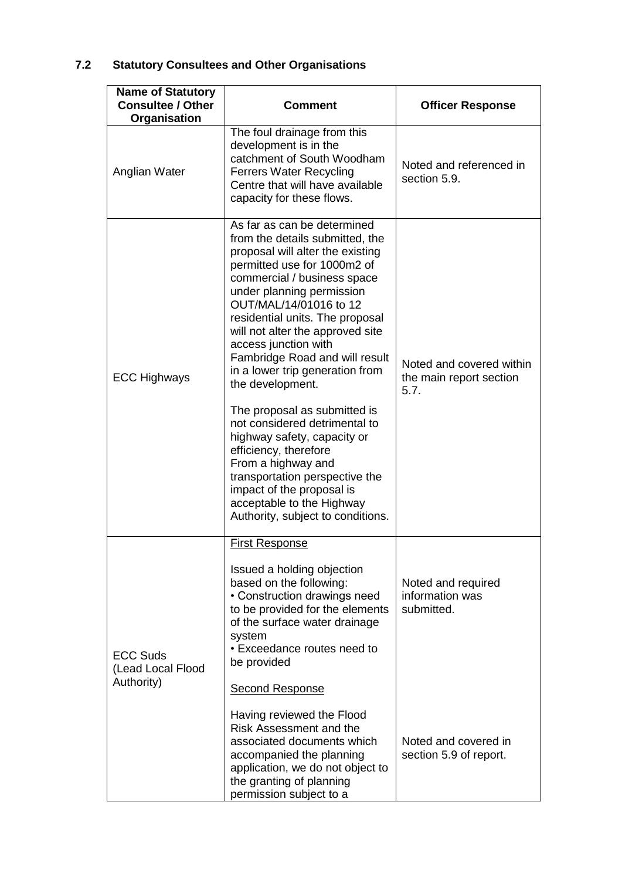# **7.2 Statutory Consultees and Other Organisations**

| <b>Name of Statutory</b><br><b>Consultee / Other</b><br>Organisation | <b>Comment</b>                                                                                                                                                                                                                                                                                                                                                                                                                                                                                                                                                                                                                                                                                  | <b>Officer Response</b>                                                                               |
|----------------------------------------------------------------------|-------------------------------------------------------------------------------------------------------------------------------------------------------------------------------------------------------------------------------------------------------------------------------------------------------------------------------------------------------------------------------------------------------------------------------------------------------------------------------------------------------------------------------------------------------------------------------------------------------------------------------------------------------------------------------------------------|-------------------------------------------------------------------------------------------------------|
| Anglian Water                                                        | The foul drainage from this<br>development is in the<br>catchment of South Woodham<br><b>Ferrers Water Recycling</b><br>Centre that will have available<br>capacity for these flows.                                                                                                                                                                                                                                                                                                                                                                                                                                                                                                            | Noted and referenced in<br>section 5.9.                                                               |
| <b>ECC Highways</b>                                                  | As far as can be determined<br>from the details submitted, the<br>proposal will alter the existing<br>permitted use for 1000m2 of<br>commercial / business space<br>under planning permission<br>OUT/MAL/14/01016 to 12<br>residential units. The proposal<br>will not alter the approved site<br>access junction with<br>Fambridge Road and will result<br>in a lower trip generation from<br>the development.<br>The proposal as submitted is<br>not considered detrimental to<br>highway safety, capacity or<br>efficiency, therefore<br>From a highway and<br>transportation perspective the<br>impact of the proposal is<br>acceptable to the Highway<br>Authority, subject to conditions. | Noted and covered within<br>the main report section<br>5.7.                                           |
| <b>ECC Suds</b><br>(Lead Local Flood<br>Authority)                   | <b>First Response</b><br>Issued a holding objection<br>based on the following:<br>• Construction drawings need<br>to be provided for the elements<br>of the surface water drainage<br>system<br>• Exceedance routes need to<br>be provided<br><b>Second Response</b><br>Having reviewed the Flood<br>Risk Assessment and the<br>associated documents which<br>accompanied the planning<br>application, we do not object to<br>the granting of planning                                                                                                                                                                                                                                          | Noted and required<br>information was<br>submitted.<br>Noted and covered in<br>section 5.9 of report. |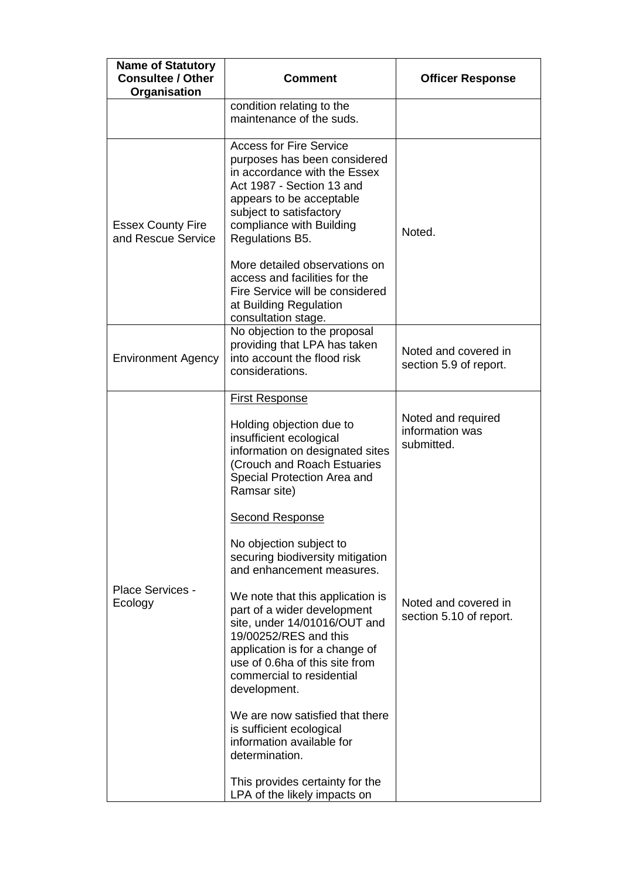| <b>Comment</b>                                                                                                                                                                                                                                                                                                                                                                                                                                                                                                                                                                                                                                                                                                    | <b>Officer Response</b>                                                                                |
|-------------------------------------------------------------------------------------------------------------------------------------------------------------------------------------------------------------------------------------------------------------------------------------------------------------------------------------------------------------------------------------------------------------------------------------------------------------------------------------------------------------------------------------------------------------------------------------------------------------------------------------------------------------------------------------------------------------------|--------------------------------------------------------------------------------------------------------|
| condition relating to the<br>maintenance of the suds.                                                                                                                                                                                                                                                                                                                                                                                                                                                                                                                                                                                                                                                             |                                                                                                        |
| <b>Access for Fire Service</b><br>purposes has been considered<br>in accordance with the Essex<br>Act 1987 - Section 13 and<br>appears to be acceptable<br>subject to satisfactory<br>compliance with Building<br>Regulations B5.<br>More detailed observations on<br>access and facilities for the<br>Fire Service will be considered<br>at Building Regulation                                                                                                                                                                                                                                                                                                                                                  | Noted.                                                                                                 |
| No objection to the proposal<br>providing that LPA has taken<br>into account the flood risk<br>considerations.                                                                                                                                                                                                                                                                                                                                                                                                                                                                                                                                                                                                    | Noted and covered in<br>section 5.9 of report.                                                         |
| <b>First Response</b><br>Holding objection due to<br>insufficient ecological<br>information on designated sites<br>(Crouch and Roach Estuaries<br>Special Protection Area and<br>Ramsar site)<br><b>Second Response</b><br>No objection subject to<br>securing biodiversity mitigation<br>and enhancement measures.<br>We note that this application is<br>part of a wider development<br>site, under 14/01016/OUT and<br>19/00252/RES and this<br>application is for a change of<br>use of 0.6ha of this site from<br>commercial to residential<br>development.<br>We are now satisfied that there<br>is sufficient ecological<br>information available for<br>determination.<br>This provides certainty for the | Noted and required<br>information was<br>submitted.<br>Noted and covered in<br>section 5.10 of report. |
|                                                                                                                                                                                                                                                                                                                                                                                                                                                                                                                                                                                                                                                                                                                   | consultation stage.<br>LPA of the likely impacts on                                                    |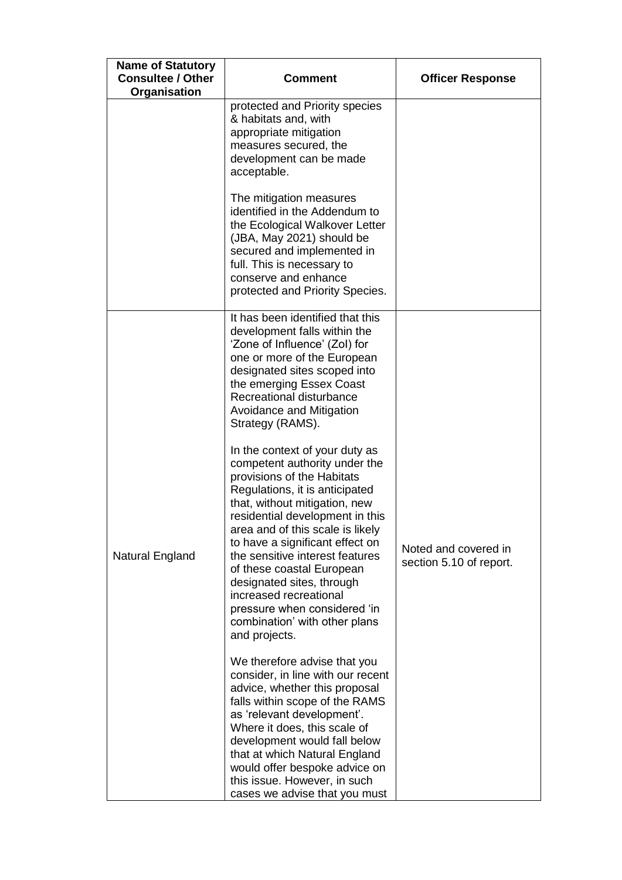| <b>Name of Statutory</b><br><b>Consultee / Other</b><br>Organisation | <b>Comment</b>                                                                                                                                                                                                                                                                                                                                                                                              | <b>Officer Response</b>                         |
|----------------------------------------------------------------------|-------------------------------------------------------------------------------------------------------------------------------------------------------------------------------------------------------------------------------------------------------------------------------------------------------------------------------------------------------------------------------------------------------------|-------------------------------------------------|
|                                                                      | protected and Priority species<br>& habitats and, with<br>appropriate mitigation<br>measures secured, the<br>development can be made<br>acceptable.                                                                                                                                                                                                                                                         |                                                 |
|                                                                      | The mitigation measures<br>identified in the Addendum to<br>the Ecological Walkover Letter<br>(JBA, May 2021) should be<br>secured and implemented in<br>full. This is necessary to<br>conserve and enhance<br>protected and Priority Species.                                                                                                                                                              |                                                 |
|                                                                      | It has been identified that this<br>development falls within the<br>'Zone of Influence' (Zol) for<br>one or more of the European<br>designated sites scoped into<br>the emerging Essex Coast<br>Recreational disturbance<br>Avoidance and Mitigation<br>Strategy (RAMS).<br>In the context of your duty as<br>competent authority under the<br>provisions of the Habitats<br>Regulations, it is anticipated |                                                 |
| Natural England                                                      | that, without mitigation, new<br>residential development in this<br>area and of this scale is likely<br>to have a significant effect on<br>the sensitive interest features<br>of these coastal European<br>designated sites, through<br>increased recreational<br>pressure when considered 'in<br>combination' with other plans<br>and projects.                                                            | Noted and covered in<br>section 5.10 of report. |
|                                                                      | We therefore advise that you<br>consider, in line with our recent<br>advice, whether this proposal<br>falls within scope of the RAMS<br>as 'relevant development'.<br>Where it does, this scale of<br>development would fall below<br>that at which Natural England<br>would offer bespoke advice on<br>this issue. However, in such<br>cases we advise that you must                                       |                                                 |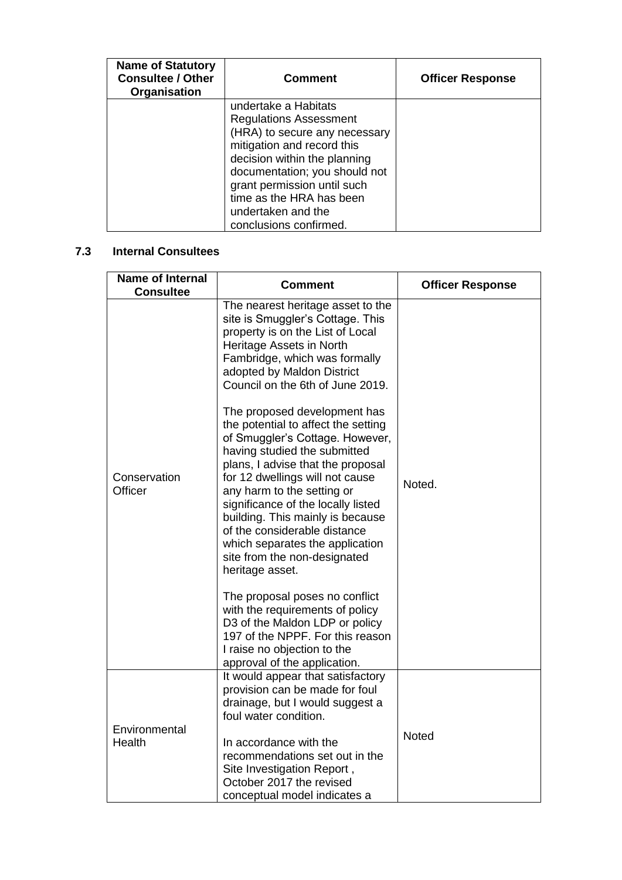| <b>Name of Statutory</b><br><b>Consultee / Other</b><br>Organisation | <b>Comment</b>                                                                                                                                                                                                                                   | <b>Officer Response</b> |
|----------------------------------------------------------------------|--------------------------------------------------------------------------------------------------------------------------------------------------------------------------------------------------------------------------------------------------|-------------------------|
|                                                                      | undertake a Habitats<br><b>Regulations Assessment</b><br>(HRA) to secure any necessary<br>mitigation and record this<br>decision within the planning<br>documentation; you should not<br>grant permission until such<br>time as the HRA has been |                         |
|                                                                      | undertaken and the<br>conclusions confirmed.                                                                                                                                                                                                     |                         |

# **7.3 Internal Consultees**

| <b>Name of Internal</b><br><b>Consultee</b> | <b>Comment</b>                                                                                                                                                                                                                                                                                                                                                                                                                                                                                                                                                                                                                                                                                                                                                                                                                                                                                     | <b>Officer Response</b> |
|---------------------------------------------|----------------------------------------------------------------------------------------------------------------------------------------------------------------------------------------------------------------------------------------------------------------------------------------------------------------------------------------------------------------------------------------------------------------------------------------------------------------------------------------------------------------------------------------------------------------------------------------------------------------------------------------------------------------------------------------------------------------------------------------------------------------------------------------------------------------------------------------------------------------------------------------------------|-------------------------|
| Conservation<br>Officer                     | The nearest heritage asset to the<br>site is Smuggler's Cottage. This<br>property is on the List of Local<br>Heritage Assets in North<br>Fambridge, which was formally<br>adopted by Maldon District<br>Council on the 6th of June 2019.<br>The proposed development has<br>the potential to affect the setting<br>of Smuggler's Cottage. However,<br>having studied the submitted<br>plans, I advise that the proposal<br>for 12 dwellings will not cause<br>any harm to the setting or<br>significance of the locally listed<br>building. This mainly is because<br>of the considerable distance<br>which separates the application<br>site from the non-designated<br>heritage asset.<br>The proposal poses no conflict<br>with the requirements of policy<br>D3 of the Maldon LDP or policy<br>197 of the NPPF. For this reason<br>I raise no objection to the<br>approval of the application. | Noted.                  |
| Environmental<br>Health                     | It would appear that satisfactory<br>provision can be made for foul<br>drainage, but I would suggest a<br>foul water condition.                                                                                                                                                                                                                                                                                                                                                                                                                                                                                                                                                                                                                                                                                                                                                                    |                         |
|                                             | In accordance with the<br>recommendations set out in the<br>Site Investigation Report,<br>October 2017 the revised<br>conceptual model indicates a                                                                                                                                                                                                                                                                                                                                                                                                                                                                                                                                                                                                                                                                                                                                                 | Noted                   |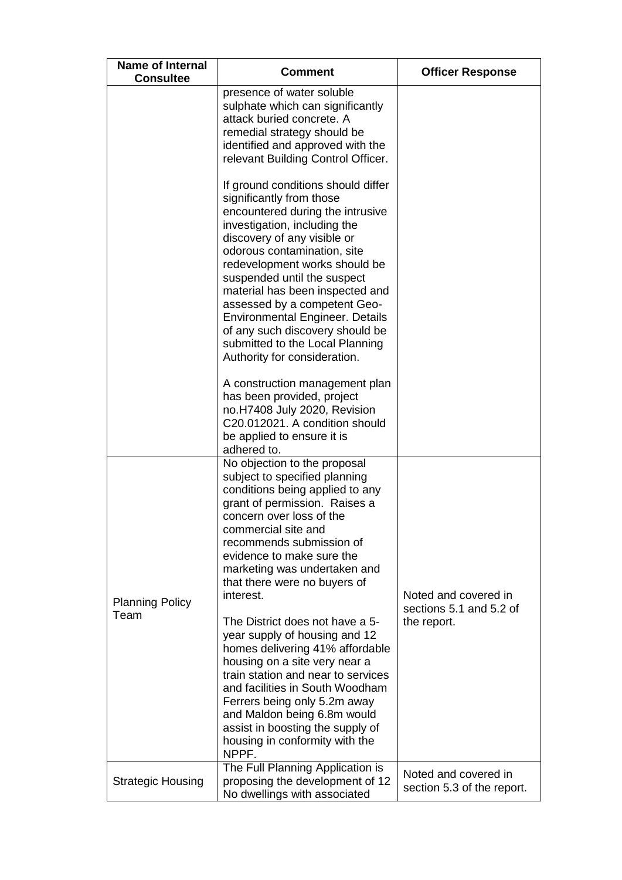| <b>Name of Internal</b><br><b>Consultee</b> | <b>Comment</b>                                                                                                                                                                                                                                                                                                                                                                                                                                                                                                                                                                                                                                                                   | <b>Officer Response</b>                                        |
|---------------------------------------------|----------------------------------------------------------------------------------------------------------------------------------------------------------------------------------------------------------------------------------------------------------------------------------------------------------------------------------------------------------------------------------------------------------------------------------------------------------------------------------------------------------------------------------------------------------------------------------------------------------------------------------------------------------------------------------|----------------------------------------------------------------|
|                                             | presence of water soluble<br>sulphate which can significantly<br>attack buried concrete. A<br>remedial strategy should be<br>identified and approved with the<br>relevant Building Control Officer.                                                                                                                                                                                                                                                                                                                                                                                                                                                                              |                                                                |
|                                             | If ground conditions should differ<br>significantly from those<br>encountered during the intrusive<br>investigation, including the<br>discovery of any visible or<br>odorous contamination, site<br>redevelopment works should be<br>suspended until the suspect<br>material has been inspected and<br>assessed by a competent Geo-<br><b>Environmental Engineer. Details</b><br>of any such discovery should be<br>submitted to the Local Planning<br>Authority for consideration.                                                                                                                                                                                              |                                                                |
|                                             | A construction management plan<br>has been provided, project<br>no.H7408 July 2020, Revision<br>C20.012021. A condition should<br>be applied to ensure it is<br>adhered to.                                                                                                                                                                                                                                                                                                                                                                                                                                                                                                      |                                                                |
| <b>Planning Policy</b><br>Team              | No objection to the proposal<br>subject to specified planning<br>conditions being applied to any<br>grant of permission. Raises a<br>concern over loss of the<br>commercial site and<br>recommends submission of<br>evidence to make sure the<br>marketing was undertaken and<br>that there were no buyers of<br>interest.<br>The District does not have a 5-<br>year supply of housing and 12<br>homes delivering 41% affordable<br>housing on a site very near a<br>train station and near to services<br>and facilities in South Woodham<br>Ferrers being only 5.2m away<br>and Maldon being 6.8m would<br>assist in boosting the supply of<br>housing in conformity with the | Noted and covered in<br>sections 5.1 and 5.2 of<br>the report. |
| <b>Strategic Housing</b>                    | NPPF.<br>The Full Planning Application is<br>proposing the development of 12<br>No dwellings with associated                                                                                                                                                                                                                                                                                                                                                                                                                                                                                                                                                                     | Noted and covered in<br>section 5.3 of the report.             |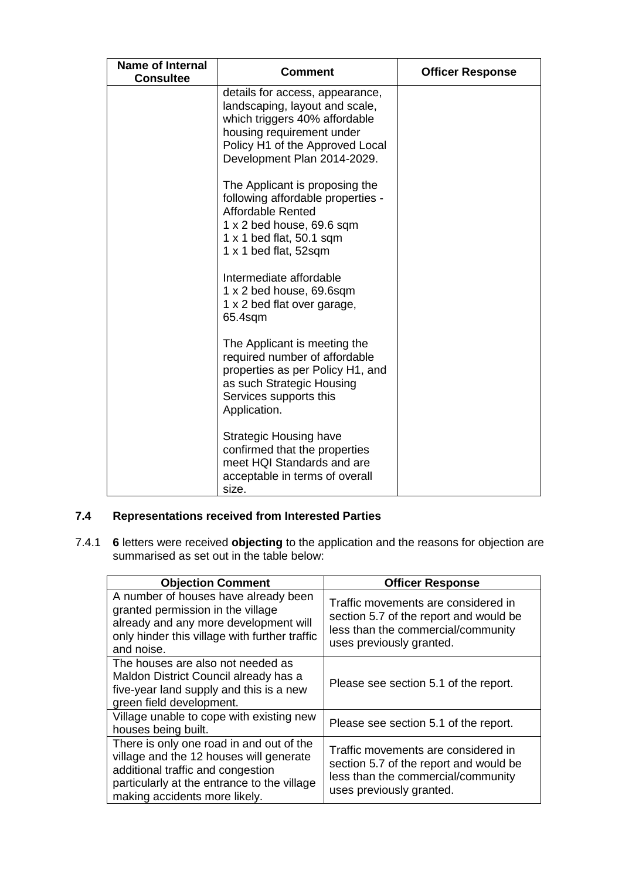| <b>Name of Internal</b><br><b>Consultee</b> | Comment                                                                                                                                                                                           | <b>Officer Response</b> |
|---------------------------------------------|---------------------------------------------------------------------------------------------------------------------------------------------------------------------------------------------------|-------------------------|
|                                             | details for access, appearance,<br>landscaping, layout and scale,<br>which triggers 40% affordable<br>housing requirement under<br>Policy H1 of the Approved Local<br>Development Plan 2014-2029. |                         |
|                                             | The Applicant is proposing the<br>following affordable properties -<br><b>Affordable Rented</b><br>1 x 2 bed house, 69.6 sqm<br>$1 \times 1$ bed flat, 50.1 sqm<br>1 x 1 bed flat, 52sqm          |                         |
|                                             | Intermediate affordable<br>1 x 2 bed house, 69.6sqm<br>1 x 2 bed flat over garage,<br>65.4sqm                                                                                                     |                         |
|                                             | The Applicant is meeting the<br>required number of affordable<br>properties as per Policy H1, and<br>as such Strategic Housing<br>Services supports this<br>Application.                          |                         |
|                                             | <b>Strategic Housing have</b><br>confirmed that the properties<br>meet HQI Standards and are<br>acceptable in terms of overall<br>size.                                                           |                         |

# **7.4 Representations received from Interested Parties**

7.4.1 **6** letters were received **objecting** to the application and the reasons for objection are summarised as set out in the table below:

| <b>Objection Comment</b>                                                                                                                                                                                 | <b>Officer Response</b>                                                                                                                         |
|----------------------------------------------------------------------------------------------------------------------------------------------------------------------------------------------------------|-------------------------------------------------------------------------------------------------------------------------------------------------|
| A number of houses have already been<br>granted permission in the village<br>already and any more development will<br>only hinder this village with further traffic<br>and noise.                        | Traffic movements are considered in<br>section 5.7 of the report and would be<br>less than the commercial/community<br>uses previously granted. |
| The houses are also not needed as<br>Maldon District Council already has a<br>five-year land supply and this is a new<br>green field development.                                                        | Please see section 5.1 of the report.                                                                                                           |
| Village unable to cope with existing new<br>houses being built.                                                                                                                                          | Please see section 5.1 of the report.                                                                                                           |
| There is only one road in and out of the<br>village and the 12 houses will generate<br>additional traffic and congestion<br>particularly at the entrance to the village<br>making accidents more likely. | Traffic movements are considered in<br>section 5.7 of the report and would be<br>less than the commercial/community<br>uses previously granted. |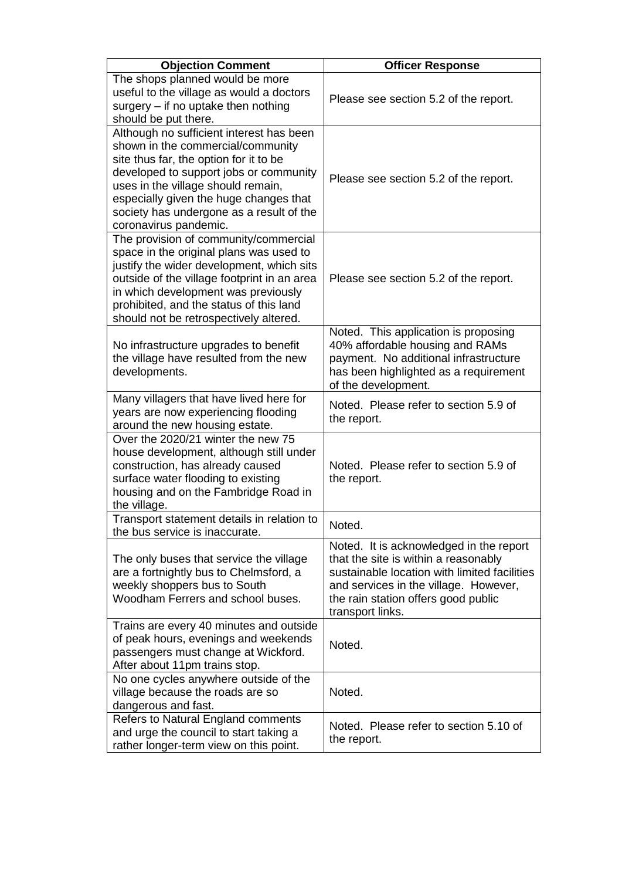| <b>Objection Comment</b>                                                                                                                                                                                                                                                                                               | <b>Officer Response</b>                                                                                                                                                                                                             |
|------------------------------------------------------------------------------------------------------------------------------------------------------------------------------------------------------------------------------------------------------------------------------------------------------------------------|-------------------------------------------------------------------------------------------------------------------------------------------------------------------------------------------------------------------------------------|
| The shops planned would be more<br>useful to the village as would a doctors<br>surgery - if no uptake then nothing<br>should be put there.                                                                                                                                                                             | Please see section 5.2 of the report.                                                                                                                                                                                               |
| Although no sufficient interest has been<br>shown in the commercial/community<br>site thus far, the option for it to be<br>developed to support jobs or community<br>uses in the village should remain,<br>especially given the huge changes that<br>society has undergone as a result of the<br>coronavirus pandemic. | Please see section 5.2 of the report.                                                                                                                                                                                               |
| The provision of community/commercial<br>space in the original plans was used to<br>justify the wider development, which sits<br>outside of the village footprint in an area<br>in which development was previously<br>prohibited, and the status of this land<br>should not be retrospectively altered.               | Please see section 5.2 of the report.                                                                                                                                                                                               |
| No infrastructure upgrades to benefit<br>the village have resulted from the new<br>developments.                                                                                                                                                                                                                       | Noted. This application is proposing<br>40% affordable housing and RAMs<br>payment. No additional infrastructure<br>has been highlighted as a requirement<br>of the development.                                                    |
| Many villagers that have lived here for<br>years are now experiencing flooding<br>around the new housing estate.                                                                                                                                                                                                       | Noted. Please refer to section 5.9 of<br>the report.                                                                                                                                                                                |
| Over the 2020/21 winter the new 75<br>house development, although still under<br>construction, has already caused<br>surface water flooding to existing<br>housing and on the Fambridge Road in<br>the village.                                                                                                        | Noted. Please refer to section 5.9 of<br>the report.                                                                                                                                                                                |
| Transport statement details in relation to<br>the bus service is inaccurate.                                                                                                                                                                                                                                           | Noted.                                                                                                                                                                                                                              |
| The only buses that service the village<br>are a fortnightly bus to Chelmsford, a<br>weekly shoppers bus to South<br>Woodham Ferrers and school buses.                                                                                                                                                                 | Noted. It is acknowledged in the report<br>that the site is within a reasonably<br>sustainable location with limited facilities<br>and services in the village. However,<br>the rain station offers good public<br>transport links. |
| Trains are every 40 minutes and outside<br>of peak hours, evenings and weekends<br>passengers must change at Wickford.<br>After about 11pm trains stop.                                                                                                                                                                | Noted.                                                                                                                                                                                                                              |
| No one cycles anywhere outside of the<br>village because the roads are so<br>dangerous and fast.                                                                                                                                                                                                                       | Noted.                                                                                                                                                                                                                              |
| Refers to Natural England comments<br>and urge the council to start taking a<br>rather longer-term view on this point.                                                                                                                                                                                                 | Noted. Please refer to section 5.10 of<br>the report.                                                                                                                                                                               |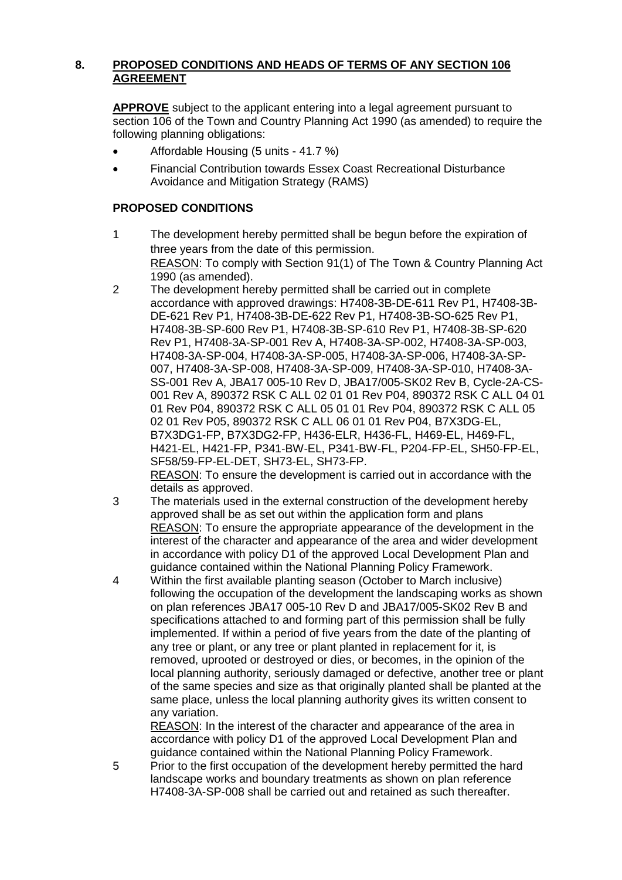# **8. PROPOSED CONDITIONS AND HEADS OF TERMS OF ANY SECTION 106 AGREEMENT**

**APPROVE** subject to the applicant entering into a legal agreement pursuant to section 106 of the Town and Country Planning Act 1990 (as amended) to require the following planning obligations:

- Affordable Housing (5 units 41.7 %)
- Financial Contribution towards Essex Coast Recreational Disturbance Avoidance and Mitigation Strategy (RAMS)

# **PROPOSED CONDITIONS**

- 1 The development hereby permitted shall be begun before the expiration of three years from the date of this permission. REASON: To comply with Section 91(1) of The Town & Country Planning Act 1990 (as amended).
- 2 The development hereby permitted shall be carried out in complete accordance with approved drawings: H7408-3B-DE-611 Rev P1, H7408-3B-DE-621 Rev P1, H7408-3B-DE-622 Rev P1, H7408-3B-SO-625 Rev P1, H7408-3B-SP-600 Rev P1, H7408-3B-SP-610 Rev P1, H7408-3B-SP-620 Rev P1, H7408-3A-SP-001 Rev A, H7408-3A-SP-002, H7408-3A-SP-003, H7408-3A-SP-004, H7408-3A-SP-005, H7408-3A-SP-006, H7408-3A-SP-007, H7408-3A-SP-008, H7408-3A-SP-009, H7408-3A-SP-010, H7408-3A-SS-001 Rev A, JBA17 005-10 Rev D, JBA17/005-SK02 Rev B, Cycle-2A-CS-001 Rev A, 890372 RSK C ALL 02 01 01 Rev P04, 890372 RSK C ALL 04 01 01 Rev P04, 890372 RSK C ALL 05 01 01 Rev P04, 890372 RSK C ALL 05 02 01 Rev P05, 890372 RSK C ALL 06 01 01 Rev P04, B7X3DG-EL, B7X3DG1-FP, B7X3DG2-FP, H436-ELR, H436-FL, H469-EL, H469-FL, H421-EL, H421-FP, P341-BW-EL, P341-BW-FL, P204-FP-EL, SH50-FP-EL, SF58/59-FP-EL-DET, SH73-EL, SH73-FP.

REASON: To ensure the development is carried out in accordance with the details as approved.

- 3 The materials used in the external construction of the development hereby approved shall be as set out within the application form and plans REASON: To ensure the appropriate appearance of the development in the interest of the character and appearance of the area and wider development in accordance with policy D1 of the approved Local Development Plan and guidance contained within the National Planning Policy Framework.
- 4 Within the first available planting season (October to March inclusive) following the occupation of the development the landscaping works as shown on plan references JBA17 005-10 Rev D and JBA17/005-SK02 Rev B and specifications attached to and forming part of this permission shall be fully implemented. If within a period of five years from the date of the planting of any tree or plant, or any tree or plant planted in replacement for it, is removed, uprooted or destroyed or dies, or becomes, in the opinion of the local planning authority, seriously damaged or defective, another tree or plant of the same species and size as that originally planted shall be planted at the same place, unless the local planning authority gives its written consent to any variation.

REASON: In the interest of the character and appearance of the area in accordance with policy D1 of the approved Local Development Plan and guidance contained within the National Planning Policy Framework.

5 Prior to the first occupation of the development hereby permitted the hard landscape works and boundary treatments as shown on plan reference H7408-3A-SP-008 shall be carried out and retained as such thereafter.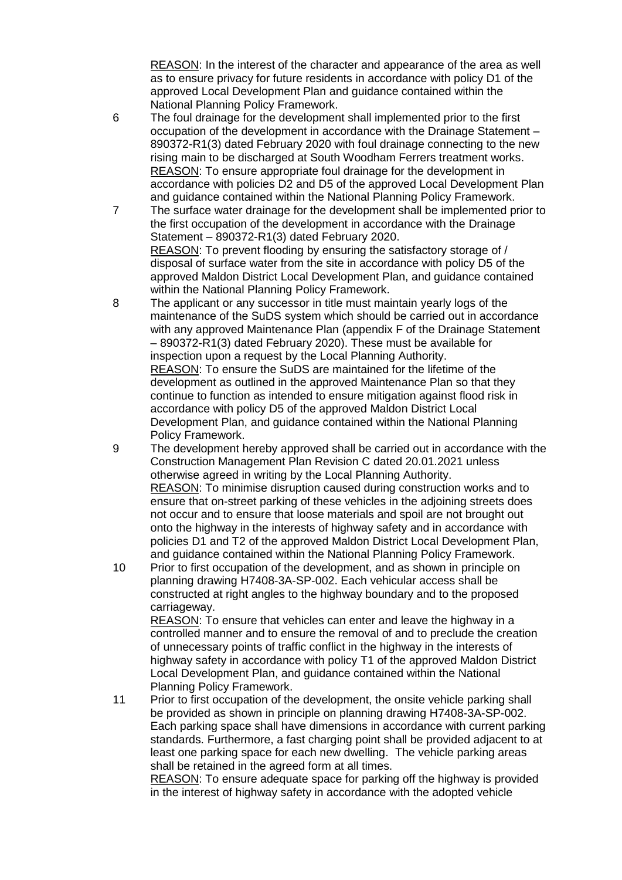REASON: In the interest of the character and appearance of the area as well as to ensure privacy for future residents in accordance with policy D1 of the approved Local Development Plan and guidance contained within the National Planning Policy Framework.

- 6 The foul drainage for the development shall implemented prior to the first occupation of the development in accordance with the Drainage Statement – 890372-R1(3) dated February 2020 with foul drainage connecting to the new rising main to be discharged at South Woodham Ferrers treatment works. REASON: To ensure appropriate foul drainage for the development in accordance with policies D2 and D5 of the approved Local Development Plan and guidance contained within the National Planning Policy Framework.
- 7 The surface water drainage for the development shall be implemented prior to the first occupation of the development in accordance with the Drainage Statement – 890372-R1(3) dated February 2020. REASON: To prevent flooding by ensuring the satisfactory storage of / disposal of surface water from the site in accordance with policy D5 of the approved Maldon District Local Development Plan, and guidance contained within the National Planning Policy Framework.
- 8 The applicant or any successor in title must maintain yearly logs of the maintenance of the SuDS system which should be carried out in accordance with any approved Maintenance Plan (appendix F of the Drainage Statement – 890372-R1(3) dated February 2020). These must be available for inspection upon a request by the Local Planning Authority. REASON: To ensure the SuDS are maintained for the lifetime of the development as outlined in the approved Maintenance Plan so that they continue to function as intended to ensure mitigation against flood risk in accordance with policy D5 of the approved Maldon District Local Development Plan, and guidance contained within the National Planning Policy Framework.
- 9 The development hereby approved shall be carried out in accordance with the Construction Management Plan Revision C dated 20.01.2021 unless otherwise agreed in writing by the Local Planning Authority. REASON: To minimise disruption caused during construction works and to ensure that on-street parking of these vehicles in the adjoining streets does not occur and to ensure that loose materials and spoil are not brought out onto the highway in the interests of highway safety and in accordance with policies D1 and T2 of the approved Maldon District Local Development Plan, and guidance contained within the National Planning Policy Framework.
- 10 Prior to first occupation of the development, and as shown in principle on planning drawing H7408-3A-SP-002. Each vehicular access shall be constructed at right angles to the highway boundary and to the proposed carriageway.

REASON: To ensure that vehicles can enter and leave the highway in a controlled manner and to ensure the removal of and to preclude the creation of unnecessary points of traffic conflict in the highway in the interests of highway safety in accordance with policy T1 of the approved Maldon District Local Development Plan, and guidance contained within the National Planning Policy Framework.

11 Prior to first occupation of the development, the onsite vehicle parking shall be provided as shown in principle on planning drawing H7408-3A-SP-002. Each parking space shall have dimensions in accordance with current parking standards. Furthermore, a fast charging point shall be provided adjacent to at least one parking space for each new dwelling. The vehicle parking areas shall be retained in the agreed form at all times.

REASON: To ensure adequate space for parking off the highway is provided in the interest of highway safety in accordance with the adopted vehicle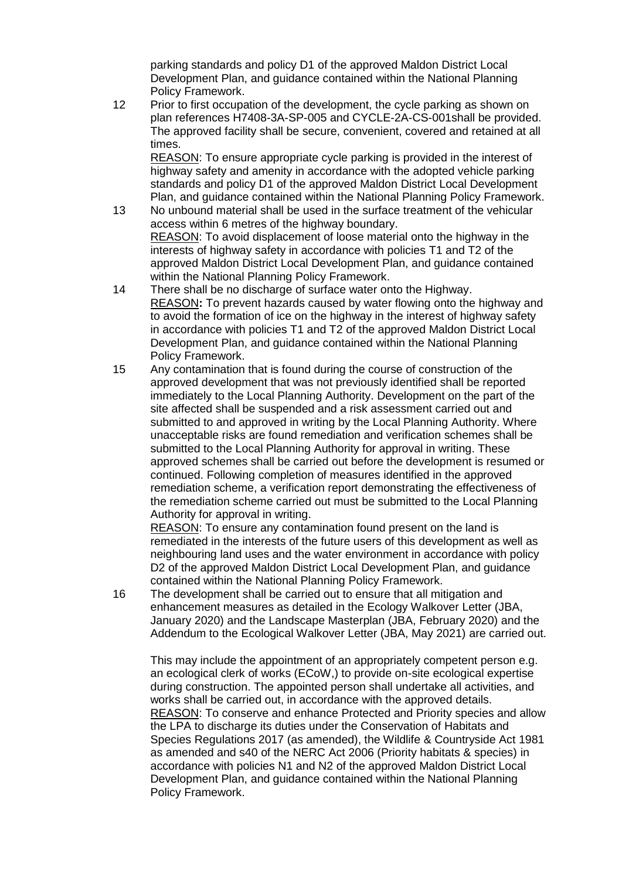parking standards and policy D1 of the approved Maldon District Local Development Plan, and guidance contained within the National Planning Policy Framework.

12 Prior to first occupation of the development, the cycle parking as shown on plan references H7408-3A-SP-005 and CYCLE-2A-CS-001shall be provided. The approved facility shall be secure, convenient, covered and retained at all times.

REASON: To ensure appropriate cycle parking is provided in the interest of highway safety and amenity in accordance with the adopted vehicle parking standards and policy D1 of the approved Maldon District Local Development Plan, and guidance contained within the National Planning Policy Framework.

- 13 No unbound material shall be used in the surface treatment of the vehicular access within 6 metres of the highway boundary. REASON: To avoid displacement of loose material onto the highway in the interests of highway safety in accordance with policies T1 and T2 of the approved Maldon District Local Development Plan, and guidance contained within the National Planning Policy Framework.
- 14 There shall be no discharge of surface water onto the Highway. REASON**:** To prevent hazards caused by water flowing onto the highway and to avoid the formation of ice on the highway in the interest of highway safety in accordance with policies T1 and T2 of the approved Maldon District Local Development Plan, and guidance contained within the National Planning Policy Framework.
- 15 Any contamination that is found during the course of construction of the approved development that was not previously identified shall be reported immediately to the Local Planning Authority. Development on the part of the site affected shall be suspended and a risk assessment carried out and submitted to and approved in writing by the Local Planning Authority. Where unacceptable risks are found remediation and verification schemes shall be submitted to the Local Planning Authority for approval in writing. These approved schemes shall be carried out before the development is resumed or continued. Following completion of measures identified in the approved remediation scheme, a verification report demonstrating the effectiveness of the remediation scheme carried out must be submitted to the Local Planning Authority for approval in writing.

REASON: To ensure any contamination found present on the land is remediated in the interests of the future users of this development as well as neighbouring land uses and the water environment in accordance with policy D2 of the approved Maldon District Local Development Plan, and guidance contained within the National Planning Policy Framework.

16 The development shall be carried out to ensure that all mitigation and enhancement measures as detailed in the Ecology Walkover Letter (JBA, January 2020) and the Landscape Masterplan (JBA, February 2020) and the Addendum to the Ecological Walkover Letter (JBA, May 2021) are carried out.

This may include the appointment of an appropriately competent person e.g. an ecological clerk of works (ECoW,) to provide on-site ecological expertise during construction. The appointed person shall undertake all activities, and works shall be carried out, in accordance with the approved details. REASON: To conserve and enhance Protected and Priority species and allow the LPA to discharge its duties under the Conservation of Habitats and Species Regulations 2017 (as amended), the Wildlife & Countryside Act 1981 as amended and s40 of the NERC Act 2006 (Priority habitats & species) in accordance with policies N1 and N2 of the approved Maldon District Local Development Plan, and guidance contained within the National Planning Policy Framework.